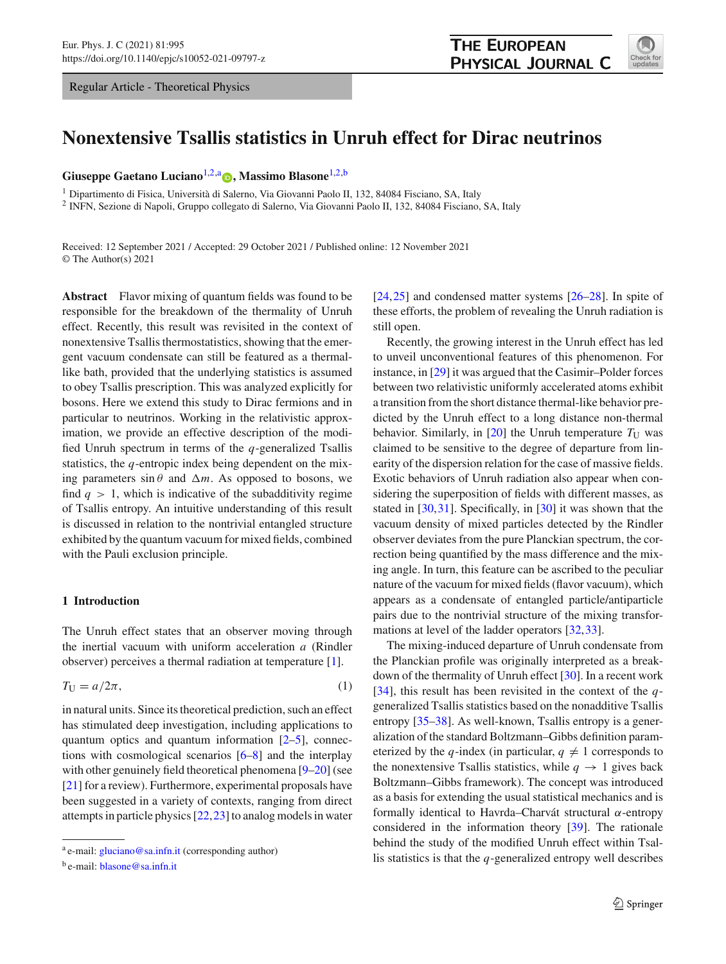Regular Article - Theoretical Physics



# **Nonextensive Tsallis statistics in Unruh effect for Dirac neutrinos**

**Giuseppe Gaetano Luciano**[1,2,](#page-0-0)a **[,](http://orcid.org/0000-0002-5129-848X) Massimo Blasone**[1,2,](#page-0-0)b

<sup>1</sup> Dipartimento di Fisica, Università di Salerno, Via Giovanni Paolo II, 132, 84084 Fisciano, SA, Italy

<sup>2</sup> INFN, Sezione di Napoli, Gruppo collegato di Salerno, Via Giovanni Paolo II, 132, 84084 Fisciano, SA, Italy

Received: 12 September 2021 / Accepted: 29 October 2021 / Published online: 12 November 2021 © The Author(s) 2021

**Abstract** Flavor mixing of quantum fields was found to be responsible for the breakdown of the thermality of Unruh effect. Recently, this result was revisited in the context of nonextensive Tsallis thermostatistics, showing that the emergent vacuum condensate can still be featured as a thermallike bath, provided that the underlying statistics is assumed to obey Tsallis prescription. This was analyzed explicitly for bosons. Here we extend this study to Dirac fermions and in particular to neutrinos. Working in the relativistic approximation, we provide an effective description of the modified Unruh spectrum in terms of the *q*-generalized Tsallis statistics, the *q*-entropic index being dependent on the mixing parameters  $\sin \theta$  and  $\Delta m$ . As opposed to bosons, we find  $q > 1$ , which is indicative of the subadditivity regime of Tsallis entropy. An intuitive understanding of this result is discussed in relation to the nontrivial entangled structure exhibited by the quantum vacuum for mixed fields, combined with the Pauli exclusion principle.

## **1 Introduction**

The Unruh effect states that an observer moving through the inertial vacuum with uniform acceleration *a* (Rindler observer) perceives a thermal radiation at temperature [\[1\]](#page-15-0).

<span id="page-0-1"></span>
$$
T_{\rm U} = a/2\pi,\tag{1}
$$

in natural units. Since its theoretical prediction, such an effect has stimulated deep investigation, including applications to quantum optics and quantum information  $[2-5]$  $[2-5]$ , connections with cosmological scenarios  $[6-8]$  $[6-8]$  and the interplay with other genuinely field theoretical phenomena [\[9](#page-15-5)[–20](#page-15-6)] (see [\[21](#page-15-7)] for a review). Furthermore, experimental proposals have been suggested in a variety of contexts, ranging from direct attempts in particle physics [\[22](#page-15-8)[,23](#page-15-9)] to analog models in water <span id="page-0-0"></span>[\[24](#page-15-10),[25\]](#page-15-11) and condensed matter systems [\[26](#page-15-12)[–28\]](#page-15-13). In spite of these efforts, the problem of revealing the Unruh radiation is still open.

Recently, the growing interest in the Unruh effect has led to unveil unconventional features of this phenomenon. For instance, in [\[29](#page-15-14)] it was argued that the Casimir–Polder forces between two relativistic uniformly accelerated atoms exhibit a transition from the short distance thermal-like behavior predicted by the Unruh effect to a long distance non-thermal behavior. Similarly, in [\[20\]](#page-15-6) the Unruh temperature  $T_U$  was claimed to be sensitive to the degree of departure from linearity of the dispersion relation for the case of massive fields. Exotic behaviors of Unruh radiation also appear when considering the superposition of fields with different masses, as stated in [\[30](#page-15-15)[,31](#page-15-16)]. Specifically, in [\[30](#page-15-15)] it was shown that the vacuum density of mixed particles detected by the Rindler observer deviates from the pure Planckian spectrum, the correction being quantified by the mass difference and the mixing angle. In turn, this feature can be ascribed to the peculiar nature of the vacuum for mixed fields (flavor vacuum), which appears as a condensate of entangled particle/antiparticle pairs due to the nontrivial structure of the mixing transformations at level of the ladder operators [\[32](#page-15-17)[,33](#page-15-18)].

The mixing-induced departure of Unruh condensate from the Planckian profile was originally interpreted as a breakdown of the thermality of Unruh effect [\[30\]](#page-15-15). In a recent work [\[34](#page-15-19)], this result has been revisited in the context of the *q*generalized Tsallis statistics based on the nonadditive Tsallis entropy [\[35](#page-15-20)[–38](#page-15-21)]. As well-known, Tsallis entropy is a generalization of the standard Boltzmann–Gibbs definition parameterized by the *q*-index (in particular,  $q \neq 1$  corresponds to the nonextensive Tsallis statistics, while  $q \to 1$  gives back Boltzmann–Gibbs framework). The concept was introduced as a basis for extending the usual statistical mechanics and is formally identical to Havrda–Charvát structural α-entropy considered in the information theory [\[39\]](#page-15-22). The rationale behind the study of the modified Unruh effect within Tsallis statistics is that the *q*-generalized entropy well describes

<sup>a</sup> e-mail: [gluciano@sa.infn.it](mailto:gluciano@sa.infn.it) (corresponding author)

<sup>b</sup> e-mail: [blasone@sa.infn.it](mailto:blasone@sa.infn.it)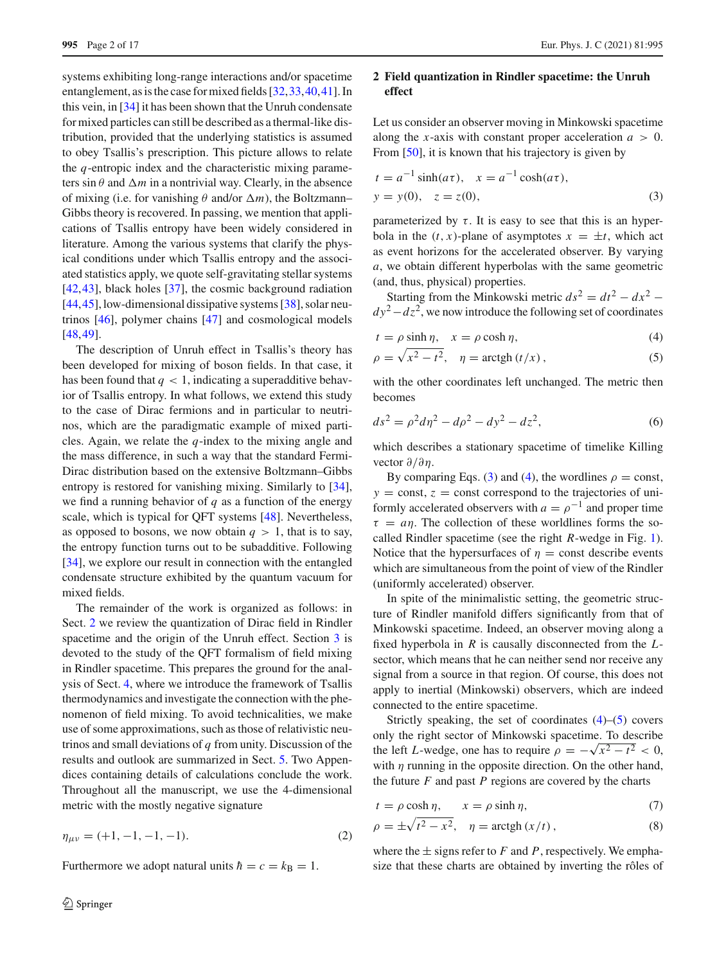systems exhibiting long-range interactions and/or spacetime entanglement, as is the case for mixed fields [\[32](#page-15-17)[,33](#page-15-18)[,40](#page-15-23),[41\]](#page-15-24). In this vein, in [\[34](#page-15-19)] it has been shown that the Unruh condensate for mixed particles can still be described as a thermal-like distribution, provided that the underlying statistics is assumed to obey Tsallis's prescription. This picture allows to relate the *q*-entropic index and the characteristic mixing parameters sin  $\theta$  and  $\Delta m$  in a nontrivial way. Clearly, in the absence of mixing (i.e. for vanishing  $\theta$  and/or  $\Delta m$ ), the Boltzmann– Gibbs theory is recovered. In passing, we mention that applications of Tsallis entropy have been widely considered in literature. Among the various systems that clarify the physical conditions under which Tsallis entropy and the associated statistics apply, we quote self-gravitating stellar systems [\[42](#page-15-25),[43\]](#page-15-26), black holes [\[37](#page-15-27)], the cosmic background radiation [\[44](#page-15-28),[45\]](#page-15-29), low-dimensional dissipative systems [\[38](#page-15-21)], solar neutrinos [\[46\]](#page-15-30), polymer chains [\[47\]](#page-15-31) and cosmological models [\[48](#page-15-32),[49\]](#page-15-33).

The description of Unruh effect in Tsallis's theory has been developed for mixing of boson fields. In that case, it has been found that  $q < 1$ , indicating a superadditive behavior of Tsallis entropy. In what follows, we extend this study to the case of Dirac fermions and in particular to neutrinos, which are the paradigmatic example of mixed particles. Again, we relate the *q*-index to the mixing angle and the mass difference, in such a way that the standard Fermi-Dirac distribution based on the extensive Boltzmann–Gibbs entropy is restored for vanishing mixing. Similarly to [\[34](#page-15-19)], we find a running behavior of *q* as a function of the energy scale, which is typical for QFT systems [\[48\]](#page-15-32). Nevertheless, as opposed to bosons, we now obtain  $q > 1$ , that is to say, the entropy function turns out to be subadditive. Following [\[34](#page-15-19)], we explore our result in connection with the entangled condensate structure exhibited by the quantum vacuum for mixed fields.

The remainder of the work is organized as follows: in Sect. [2](#page-1-0) we review the quantization of Dirac field in Rindler spacetime and the origin of the Unruh effect. Section [3](#page-5-0) is devoted to the study of the QFT formalism of field mixing in Rindler spacetime. This prepares the ground for the analysis of Sect. [4,](#page-7-0) where we introduce the framework of Tsallis thermodynamics and investigate the connection with the phenomenon of field mixing. To avoid technicalities, we make use of some approximations, such as those of relativistic neutrinos and small deviations of *q* from unity. Discussion of the results and outlook are summarized in Sect. [5.](#page-11-0) Two Appendices containing details of calculations conclude the work. Throughout all the manuscript, we use the 4-dimensional metric with the mostly negative signature

$$
\eta_{\mu\nu} = (+1, -1, -1, -1). \tag{2}
$$

Furthermore we adopt natural units  $\hbar = c = k_B = 1$ .

# <span id="page-1-0"></span>**2 Field quantization in Rindler spacetime: the Unruh effect**

Let us consider an observer moving in Minkowski spacetime along the *x*-axis with constant proper acceleration  $a > 0$ . From [\[50\]](#page-15-34), it is known that his trajectory is given by

<span id="page-1-1"></span>
$$
t = a^{-1} \sinh(a\tau), \quad x = a^{-1} \cosh(a\tau), \n y = y(0), \quad z = z(0),
$$
\n(3)

parameterized by  $\tau$ . It is easy to see that this is an hyperbola in the  $(t, x)$ -plane of asymptotes  $x = \pm t$ , which act as event horizons for the accelerated observer. By varying *a*, we obtain different hyperbolas with the same geometric (and, thus, physical) properties.

Starting from the Minkowski metric  $ds^2 = dt^2 - dx^2$  − *dy*<sup>2</sup> − *dz*<sup>2</sup>, we now introduce the following set of coordinates

<span id="page-1-2"></span>
$$
t = \rho \sinh \eta, \quad x = \rho \cosh \eta,
$$
\n(4)

$$
\rho = \sqrt{x^2 - t^2}, \quad \eta = \operatorname{arctgh} (t/x), \tag{5}
$$

with the other coordinates left unchanged. The metric then becomes

$$
ds^2 = \rho^2 d\eta^2 - d\rho^2 - dy^2 - dz^2,
$$
 (6)

which describes a stationary spacetime of timelike Killing vector  $\partial/\partial n$ .

By comparing Eqs. [\(3\)](#page-1-1) and [\(4\)](#page-1-2), the wordlines  $\rho = \text{const}$ ,  $y =$  const,  $z =$  const correspond to the trajectories of uniformly accelerated observers with  $a = \rho^{-1}$  and proper time  $\tau = a\eta$ . The collection of these worldlines forms the socalled Rindler spacetime (see the right *R*-wedge in Fig. [1\)](#page-2-0). Notice that the hypersurfaces of  $\eta$  = const describe events which are simultaneous from the point of view of the Rindler (uniformly accelerated) observer.

In spite of the minimalistic setting, the geometric structure of Rindler manifold differs significantly from that of Minkowski spacetime. Indeed, an observer moving along a fixed hyperbola in *R* is causally disconnected from the *L*sector, which means that he can neither send nor receive any signal from a source in that region. Of course, this does not apply to inertial (Minkowski) observers, which are indeed connected to the entire spacetime.

Strictly speaking, the set of coordinates  $(4)$ – $(5)$  covers only the right sector of Minkowski spacetime. To describe the left *L*-wedge, one has to require  $\rho = -\sqrt{x^2 - t^2} < 0$ , with  $\eta$  running in the opposite direction. On the other hand, the future *F* and past *P* regions are covered by the charts

$$
t = \rho \cosh \eta, \qquad x = \rho \sinh \eta, \tag{7}
$$

$$
\rho = \pm \sqrt{t^2 - x^2}, \quad \eta = \operatorname{arctgh}(x/t), \tag{8}
$$

where the  $\pm$  signs refer to *F* and *P*, respectively. We emphasize that these charts are obtained by inverting the rôles of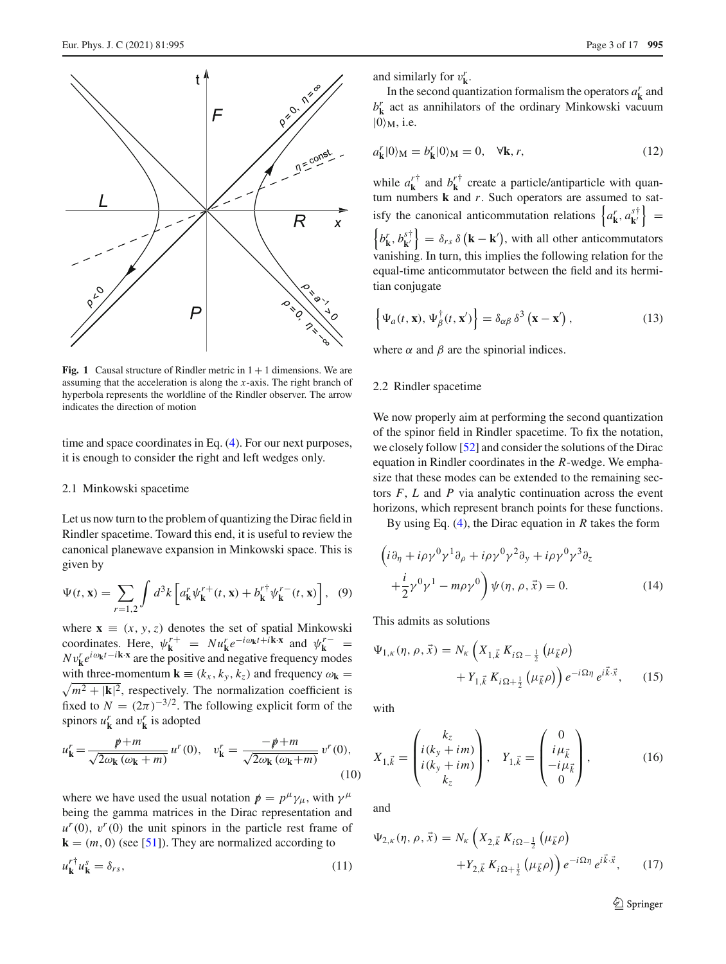

<span id="page-2-0"></span>**Fig. 1** Causal structure of Rindler metric in  $1 + 1$  dimensions. We are assuming that the acceleration is along the *x*-axis. The right branch of hyperbola represents the worldline of the Rindler observer. The arrow indicates the direction of motion

time and space coordinates in Eq. [\(4\)](#page-1-2). For our next purposes, it is enough to consider the right and left wedges only.

#### 2.1 Minkowski spacetime

Let us now turn to the problem of quantizing the Dirac field in Rindler spacetime. Toward this end, it is useful to review the canonical planewave expansion in Minkowski space. This is given by

<span id="page-2-3"></span>
$$
\Psi(t, \mathbf{x}) = \sum_{r=1,2} \int d^3k \left[ a_{\mathbf{k}}^r \psi_{\mathbf{k}}^{r+}(t, \mathbf{x}) + b_{\mathbf{k}}^{r+} \psi_{\mathbf{k}}^{r-}(t, \mathbf{x}) \right], \tag{9}
$$

where  $\mathbf{x} \equiv (x, y, z)$  denotes the set of spatial Minkowski coordinates. Here,  $\psi_{\mathbf{k}}^{r+} = Nu_{\mathbf{k}}^{r}e^{-i\omega_{\mathbf{k}}t+i\mathbf{k}\cdot\mathbf{x}}$  and  $\psi_{\mathbf{k}}^{r-} =$  $Nv_k^r e^{i\omega_k t - i\mathbf{k} \cdot \mathbf{x}}$  are the positive and negative frequency modes with three-momentum  $\mathbf{k} \equiv (k_x, k_y, k_z)$  and frequency  $\omega_{\mathbf{k}} =$  $\sqrt{m^2 + |\mathbf{k}|^2}$ , respectively. The normalization coefficient is fixed to  $N = (2\pi)^{-3/2}$ . The following explicit form of the spinors  $u_k^r$  and  $v_k^r$  is adopted

$$
u'_{\mathbf{k}} = \frac{p+m}{\sqrt{2\omega_{\mathbf{k}}\left(\omega_{\mathbf{k}} + m\right)}} u''(0), \quad v'_{\mathbf{k}} = \frac{-p+m}{\sqrt{2\omega_{\mathbf{k}}\left(\omega_{\mathbf{k}} + m\right)}} v''(0),\tag{10}
$$

where we have used the usual notation  $p = p^{\mu} \gamma_{\mu}$ , with  $\gamma^{\mu}$ being the gamma matrices in the Dirac representation and  $u^r(0)$ ,  $v^r(0)$  the unit spinors in the particle rest frame of  $\mathbf{k} = (m, 0)$  (see [\[51](#page-15-35)]). They are normalized according to  $u_{\mathbf{k}}^{r\dagger} u_{\mathbf{k}}^s = \delta_{rs},$  (11)

and similarly for  $v_{\mathbf{k}}^r$ .

In the second quantization formalism the operators  $a_k^r$  and  $b_k^r$  act as annihilators of the ordinary Minkowski vacuum  $|0\rangle$ <sub>M</sub>, i.e.

<span id="page-2-4"></span>
$$
a'_{\mathbf{k}}|0\rangle_{\mathbf{M}} = b'_{\mathbf{k}}|0\rangle_{\mathbf{M}} = 0, \quad \forall \mathbf{k}, r,
$$
\n(12)

while  $a_k^{r\dagger}$  and  $b_k^{r\dagger}$  create a particle/antiparticle with quantum numbers **k** and *r*. Such operators are assumed to satisfy the canonical anticommutation relations  $\left\{ a_{\mathbf{k}}^r, a_{\mathbf{k'}}^{s\dagger} \right\}$  =  $\left\{ b_{\mathbf{k}}^r, b_{\mathbf{k}'}^{s\dagger} \right\} = \delta_{rs} \delta \left( \mathbf{k} - \mathbf{k}' \right)$ , with all other anticommutators vanishing. In turn, this implies the following relation for the equal-time anticommutator between the field and its hermitian conjugate

<span id="page-2-5"></span>
$$
\left\{\Psi_a(t,\mathbf{x}),\Psi_\beta^\dagger(t,\mathbf{x}')\right\} = \delta_{\alpha\beta}\,\delta^3\left(\mathbf{x}-\mathbf{x}'\right),\tag{13}
$$

where  $\alpha$  and  $\beta$  are the spinorial indices.

#### 2.2 Rindler spacetime

We now properly aim at performing the second quantization of the spinor field in Rindler spacetime. To fix the notation, we closely follow [\[52](#page-15-36)] and consider the solutions of the Dirac equation in Rindler coordinates in the *R*-wedge. We emphasize that these modes can be extended to the remaining sectors *F*, *L* and *P* via analytic continuation across the event horizons, which represent branch points for these functions.

By using Eq. [\(4\)](#page-1-2), the Dirac equation in *R* takes the form

$$
\left(i\partial_{\eta} + i\rho\gamma^{0}\gamma^{1}\partial_{\rho} + i\rho\gamma^{0}\gamma^{2}\partial_{y} + i\rho\gamma^{0}\gamma^{3}\partial_{z}\right.
$$

$$
+\frac{i}{2}\gamma^{0}\gamma^{1} - m\rho\gamma^{0}\right)\psi(\eta, \rho, \vec{x}) = 0.
$$
 (14)

This admits as solutions

<span id="page-2-1"></span>
$$
\Psi_{1,\kappa}(\eta,\rho,\vec{x}) = N_{\kappa} \left( X_{1,\vec{k}} K_{i\Omega - \frac{1}{2}} \left( \mu_{\vec{k}} \rho \right) + Y_{1,\vec{k}} K_{i\Omega + \frac{1}{2}} \left( \mu_{\vec{k}} \rho \right) \right) e^{-i\Omega \eta} e^{i\vec{k}\cdot\vec{x}}, \quad (15)
$$

with

$$
X_{1,\vec{k}} = \begin{pmatrix} k_z \\ i(k_y + im) \\ i(k_y + im) \\ k_z \end{pmatrix}, \quad Y_{1,\vec{k}} = \begin{pmatrix} 0 \\ i\mu_{\vec{k}} \\ -i\mu_{\vec{k}} \\ 0 \end{pmatrix}, \tag{16}
$$

and

<span id="page-2-2"></span>
$$
\Psi_{2,\kappa}(\eta,\rho,\vec{x}) = N_{\kappa} \left( X_{2,\vec{k}} K_{i\Omega - \frac{1}{2}} \left( \mu_{\vec{k}} \rho \right) + Y_{2,\vec{k}} K_{i\Omega + \frac{1}{2}} \left( \mu_{\vec{k}} \rho \right) \right) e^{-i\Omega \eta} e^{i\vec{k}\cdot\vec{x}}, \quad (17)
$$

<sup>2</sup> Springer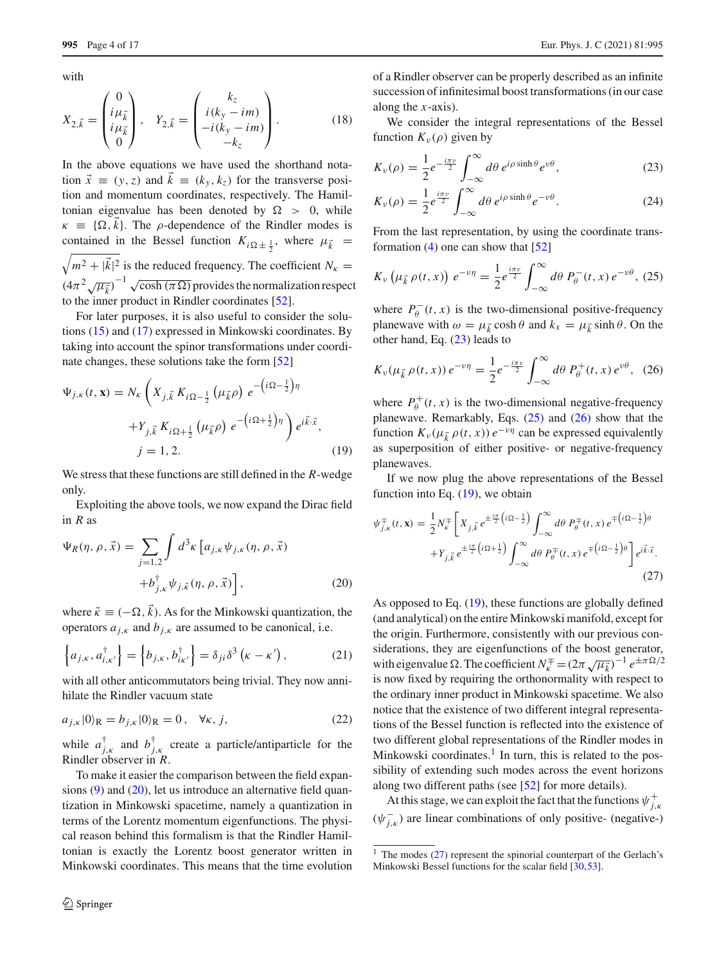with

$$
X_{2,\vec{k}} = \begin{pmatrix} 0 \\ i\mu_{\vec{k}} \\ i\mu_{\vec{k}} \\ 0 \end{pmatrix}, \quad Y_{2,\vec{k}} = \begin{pmatrix} k_z \\ i(k_y - im) \\ -i(k_y - im) \\ -k_z \end{pmatrix}.
$$
 (18)

In the above equations we have used the shorthand notation  $\vec{x} \equiv (y, z)$  and  $k \equiv (k_y, k_z)$  for the transverse position and momentum coordinates, respectively. The Hamiltonian eigenvalue has been denoted by  $\Omega > 0$ , while  $\kappa \equiv \{\Omega, k\}$ . The *ρ*-dependence of the Rindler modes is contained in the Bessel function  $K_{i\Omega \pm \frac{1}{2}}$ , where  $\mu_{\vec{k}}$  $\sqrt{m^2 + |\vec{k}|^2}$  is the reduced frequency. The coefficient  $N_k =$  $(4\pi^2\sqrt{\mu_k^2})^{-1}$   $\sqrt{\cosh(\pi\Omega)}$  provides the normalization respect to the inner product in Rindler coordinates [\[52](#page-15-36)].

For later purposes, it is also useful to consider the solutions [\(15\)](#page-2-1) and [\(17\)](#page-2-2) expressed in Minkowski coordinates. By taking into account the spinor transformations under coordinate changes, these solutions take the form [\[52](#page-15-36)]

<span id="page-3-4"></span>
$$
\Psi_{j,\kappa}(t, \mathbf{x}) = N_{\kappa} \left( X_{j,\vec{k}} K_{i\Omega - \frac{1}{2}} \left( \mu_{\vec{k}} \rho \right) e^{-\left( i\Omega - \frac{1}{2} \right) \eta} + Y_{j,\vec{k}} K_{i\Omega + \frac{1}{2}} \left( \mu_{\vec{k}} \rho \right) e^{-\left( i\Omega + \frac{1}{2} \right) \eta} \right) e^{i\vec{k} \cdot \vec{x}},
$$
  
\n $j = 1, 2.$  (19)

We stress that these functions are still defined in the *R*-wedge only.

Exploiting the above tools, we now expand the Dirac field in *R* as

<span id="page-3-0"></span>
$$
\Psi_R(\eta, \rho, \vec{x}) = \sum_{j=1,2} \int d^3 \kappa \left[ a_{j,\kappa} \psi_{j,\kappa}(\eta, \rho, \vec{x}) + b_{j,\kappa}^{\dagger} \psi_{j,\tilde{\kappa}}(\eta, \rho, \vec{x}) \right],
$$
\n(20)

where  $\tilde{\kappa} \equiv (-\Omega, k)$ . As for the Minkowski quantization, the operators  $a_{j,k}$  and  $b_{j,k}$  are assumed to be canonical, i.e.

$$
\left\{ a_{j,\kappa}, a_{i,\kappa'}^{\dagger} \right\} = \left\{ b_{j,\kappa}, b_{i\kappa'}^{\dagger} \right\} = \delta_{ji} \delta^3 \left( \kappa - \kappa' \right), \tag{21}
$$

with all other anticommutators being trivial. They now annihilate the Rindler vacuum state

$$
a_{j,k}|0\rangle_{\mathcal{R}} = b_{j,k}|0\rangle_{\mathcal{R}} = 0, \quad \forall k, j,
$$
\n(22)

while  $a_{j,k}^{\dagger}$  and  $b_{j,k}^{\dagger}$  create a particle/antiparticle for the Rindler observer in *R*.

To make it easier the comparison between the field expansions  $(9)$  and  $(20)$ , let us introduce an alternative field quantization in Minkowski spacetime, namely a quantization in terms of the Lorentz momentum eigenfunctions. The physical reason behind this formalism is that the Rindler Hamiltonian is exactly the Lorentz boost generator written in Minkowski coordinates. This means that the time evolution of a Rindler observer can be properly described as an infinite succession of infinitesimal boost transformations (in our case along the *x*-axis).

We consider the integral representations of the Bessel function  $K_v(\rho)$  given by

<span id="page-3-1"></span>
$$
K_{\nu}(\rho) = \frac{1}{2} e^{-\frac{i\pi\nu}{2}} \int_{-\infty}^{\infty} d\theta \, e^{i\rho \sinh\theta} e^{\nu\theta},\tag{23}
$$

$$
K_{\nu}(\rho) = \frac{1}{2} e^{\frac{i\pi \nu}{2}} \int_{-\infty}^{\infty} d\theta \, e^{i\rho \sinh\theta} e^{-\nu\theta}.
$$
 (24)

From the last representation, by using the coordinate transformation  $(4)$  one can show that  $[52]$  $[52]$ 

<span id="page-3-2"></span>
$$
K_{\nu}\left(\mu_{\vec{k}}\,\rho(t,x)\right)\,e^{-\nu\eta}=\frac{1}{2}e^{\frac{i\pi\nu}{2}}\int_{-\infty}^{\infty}d\theta\,P_{\theta}^{-}(t,x)\,e^{-\nu\theta},\,(25)
$$

where  $P_{\theta}^{-}(t, x)$  is the two-dimensional positive-frequency planewave with  $\omega = \mu_{\vec{k}} \cosh \theta$  and  $k_x = \mu_{\vec{k}} \sinh \theta$ . On the other hand, Eq. [\(23\)](#page-3-1) leads to

<span id="page-3-3"></span>
$$
K_{\nu}(\mu_{\vec{k}}\,\rho(t,x))\,e^{-\nu\eta}=\frac{1}{2}e^{-\frac{i\pi\nu}{2}}\int_{-\infty}^{\infty}d\theta\,P_{\theta}^{+}(t,x)\,e^{\nu\theta},\tag{26}
$$

where  $P_{\theta}^{+}(t, x)$  is the two-dimensional negative-frequency planewave. Remarkably, Eqs. [\(25\)](#page-3-2) and [\(26\)](#page-3-3) show that the function  $K_v(\mu_{\vec{k}} \rho(t, x)) e^{-v\eta}$  can be expressed equivalently as superposition of either positive- or negative-frequency planewaves.

If we now plug the above representations of the Bessel function into Eq.  $(19)$ , we obtain

<span id="page-3-6"></span>
$$
\psi_{j,\kappa}^{\mp}(t,\mathbf{x}) = \frac{1}{2} N_{\kappa}^{\mp} \left[ X_{j,\vec{k}} e^{\pm \frac{i\pi}{2} \left( i\Omega - \frac{1}{2} \right)} \int_{-\infty}^{\infty} d\theta \ P_{\theta}^{\mp}(t,x) e^{\mp \left( i\Omega - \frac{1}{2} \right)\theta} \right. \\
\left. + Y_{j,\vec{k}} e^{\pm \frac{i\pi}{2} \left( i\Omega + \frac{1}{2} \right)} \int_{-\infty}^{\infty} d\theta \ P_{\theta}^{\mp}(t,x) e^{\mp \left( i\Omega - \frac{1}{2} \right)\theta} \right] e^{i\vec{k}\cdot\vec{x}}.
$$
\n(27)

As opposed to Eq. [\(19\)](#page-3-4), these functions are globally defined (and analytical) on the entire Minkowski manifold, except for the origin. Furthermore, consistently with our previous considerations, they are eigenfunctions of the boost generator, with eigenvalue  $\Omega$ . The coefficient  $N_{\kappa}^{\pm} = (2\pi \sqrt{\mu_{\vec{k}}})^{-1} e^{\pm \pi \Omega/2}$ is now fixed by requiring the orthonormality with respect to the ordinary inner product in Minkowski spacetime. We also notice that the existence of two different integral representations of the Bessel function is reflected into the existence of two different global representations of the Rindler modes in Minkowski coordinates. $<sup>1</sup>$  In turn, this is related to the pos-</sup> sibility of extending such modes across the event horizons along two different paths (see [\[52\]](#page-15-36) for more details).

At this stage, we can exploit the fact that the functions  $\psi_{j,k}^+$  $(\psi_{j,k}^-)$  are linear combinations of only positive- (negative-)

<span id="page-3-5"></span><sup>&</sup>lt;sup>1</sup> The modes [\(27\)](#page-3-6) represent the spinorial counterpart of the Gerlach's Minkowski Bessel functions for the scalar field [\[30](#page-15-15)[,53](#page-15-37)].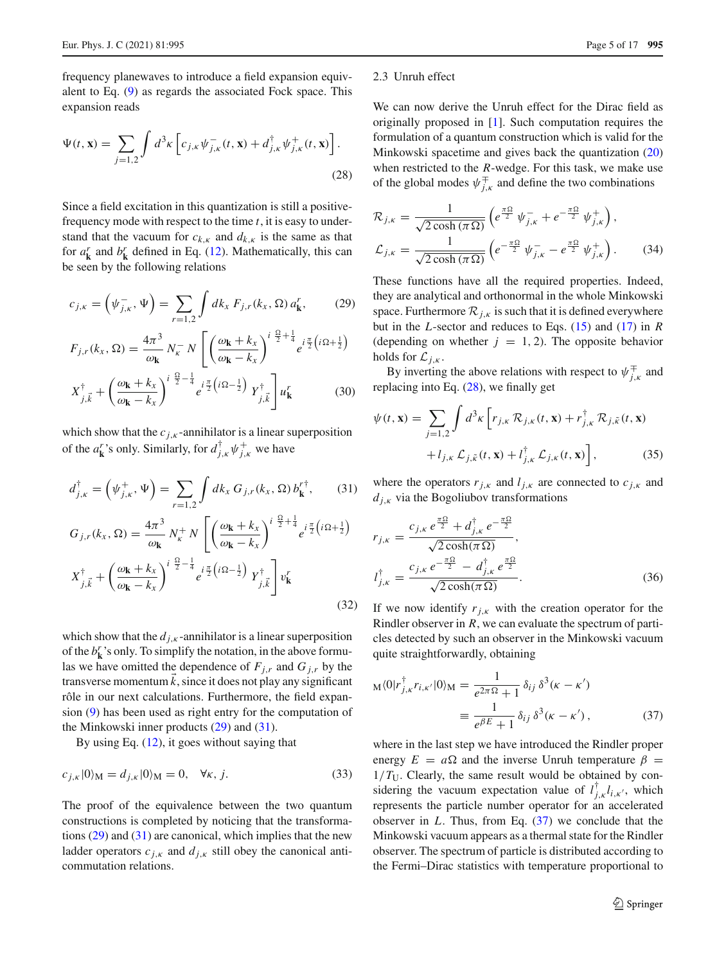frequency planewaves to introduce a field expansion equivalent to Eq. [\(9\)](#page-2-3) as regards the associated Fock space. This expansion reads

<span id="page-4-2"></span>
$$
\Psi(t, \mathbf{x}) = \sum_{j=1,2} \int d^3 \kappa \left[ c_{j,\kappa} \psi_{j,\kappa}^-(t, \mathbf{x}) + d_{j,\kappa}^\dagger \psi_{j,\kappa}^+(t, \mathbf{x}) \right].
$$
\n(28)

Since a field excitation in this quantization is still a positivefrequency mode with respect to the time *t*, it is easy to understand that the vacuum for  $c_{k,k}$  and  $d_{k,k}$  is the same as that for  $a_k^r$  and  $b_k^r$  defined in Eq. [\(12\)](#page-2-4). Mathematically, this can be seen by the following relations

<span id="page-4-0"></span>
$$
c_{j,k} = \left(\psi_{j,k}^-,\Psi\right) = \sum_{r=1,2} \int dk_x \, F_{j,r}(k_x,\Omega) \, a_k^r,\tag{29}
$$

$$
F_{j,r}(k_x, \Omega) = \frac{4\pi^3}{\omega_{\mathbf{k}}} N_{\kappa}^{-} N \left[ \left( \frac{\omega_{\mathbf{k}} + k_x}{\omega_{\mathbf{k}} - k_x} \right)^{i \frac{\Omega}{2} + \frac{1}{4}} e^{i \frac{\pi}{2} \left( i \Omega + \frac{1}{2} \right)} \right]
$$

$$
X_{j,\vec{k}}^{\dagger} + \left(\frac{\omega_{\mathbf{k}} + k_x}{\omega_{\mathbf{k}} - k_x}\right)^{i\frac{\Omega}{2} - \frac{1}{4}} e^{i\frac{\pi}{2}\left(i\Omega - \frac{1}{2}\right)} Y_{j,\vec{k}}^{\dagger} u_{\mathbf{k}}^r \tag{30}
$$

which show that the  $c_{j,k}$ -annihilator is a linear superposition of the  $a_k^r$ 's only. Similarly, for  $d_{j,k}^{\dagger} \psi_{j,k}^+$  we have

<span id="page-4-1"></span>
$$
d_{j,k}^{\dagger} = (\psi_{j,k}^+, \Psi) = \sum_{r=1,2} \int dk_x \, G_{j,r}(k_x, \Omega) \, b_{\mathbf{k}}^{r^+}, \qquad (31)
$$

$$
G_{j,r}(k_x, \Omega) = \frac{4\pi^3}{\omega_{\mathbf{k}}} N_{\kappa}^+ N \left[ \left( \frac{\omega_{\mathbf{k}} + k_x}{\omega_{\mathbf{k}} - k_x} \right)^{i \frac{\Omega}{2} + \frac{1}{4}} e^{i \frac{\pi}{2} \left( i \Omega + \frac{1}{2} \right)} \right]
$$

$$
X_{j,\vec{k}}^{\dagger} + \left( \frac{\omega_{\mathbf{k}} + k_x}{\omega_{\mathbf{k}} - k_x} \right)^{i \frac{\Omega}{2} - \frac{1}{4}} e^{i \frac{\pi}{2} \left( i \Omega - \frac{1}{2} \right)} Y_{j,\vec{k}}^{\dagger} \right] v_{\mathbf{k}}^r
$$
(32)

which show that the  $d_{j,k}$ -annihilator is a linear superposition of the  $b_k^r$ 's only. To simplify the notation, in the above formulas we have omitted the dependence of  $F_{j,r}$  and  $G_{j,r}$  by the transverse momentum  $k$ , since it does not play any significant rôle in our next calculations. Furthermore, the field expansion [\(9\)](#page-2-3) has been used as right entry for the computation of the Minkowski inner products [\(29\)](#page-4-0) and [\(31\)](#page-4-1).

By using Eq. [\(12\)](#page-2-4), it goes without saying that

<span id="page-4-4"></span>
$$
c_{j,k}|0\rangle_{\mathbf{M}} = d_{j,k}|0\rangle_{\mathbf{M}} = 0, \quad \forall k, j.
$$

The proof of the equivalence between the two quantum constructions is completed by noticing that the transformations  $(29)$  and  $(31)$  are canonical, which implies that the new ladder operators  $c_{j,k}$  and  $d_{j,k}$  still obey the canonical anticommutation relations.

#### 2.3 Unruh effect

We can now derive the Unruh effect for the Dirac field as originally proposed in [\[1](#page-15-0)]. Such computation requires the formulation of a quantum construction which is valid for the Minkowski spacetime and gives back the quantization [\(20\)](#page-3-0) when restricted to the *R*-wedge. For this task, we make use of the global modes  $\psi_{j,k}^{\pm}$  and define the two combinations

$$
\mathcal{R}_{j,\kappa} = \frac{1}{\sqrt{2\cosh(\pi\Omega)}} \left( e^{\frac{\pi\Omega}{2}} \psi_{j,\kappa}^- + e^{-\frac{\pi\Omega}{2}} \psi_{j,\kappa}^+ \right),
$$
  

$$
\mathcal{L}_{j,\kappa} = \frac{1}{\sqrt{2\cosh(\pi\Omega)}} \left( e^{-\frac{\pi\Omega}{2}} \psi_{j,\kappa}^- - e^{\frac{\pi\Omega}{2}} \psi_{j,\kappa}^+ \right).
$$
 (34)

These functions have all the required properties. Indeed, they are analytical and orthonormal in the whole Minkowski space. Furthermore  $\mathcal{R}_{j,k}$  is such that it is defined everywhere but in the *L*-sector and reduces to Eqs. [\(15\)](#page-2-1) and [\(17\)](#page-2-2) in *R* (depending on whether  $j = 1, 2$ ). The opposite behavior holds for  $\mathcal{L}_{j,k}$ .

By inverting the above relations with respect to  $\psi_{j,k}^{\pm}$  and replacing into Eq. [\(28\)](#page-4-2), we finally get

$$
\psi(t, \mathbf{x}) = \sum_{j=1,2} \int d^3 \kappa \left[ r_{j,\kappa} \mathcal{R}_{j,\kappa}(t, \mathbf{x}) + r_{j,\kappa}^{\dagger} \mathcal{R}_{j,\tilde{\kappa}}(t, \mathbf{x}) + l_{j,\kappa} \mathcal{L}_{j,\tilde{\kappa}}(t, \mathbf{x}) + l_{j,\kappa}^{\dagger} \mathcal{L}_{j,\kappa}(t, \mathbf{x}) \right],
$$
\n(35)

where the operators  $r_{j,k}$  and  $l_{j,k}$  are connected to  $c_{j,k}$  and  $d_{j,k}$  via the Bogoliubov transformations

<span id="page-4-5"></span>
$$
r_{j,\kappa} = \frac{c_{j,\kappa} e^{\frac{\pi \Omega}{2}} + d_{j,\kappa}^{\dagger} e^{-\frac{\pi \Omega}{2}}}{\sqrt{2 \cosh(\pi \Omega)}},
$$
  

$$
l_{j,\kappa}^{\dagger} = \frac{c_{j,\kappa} e^{-\frac{\pi \Omega}{2}} - d_{j,\kappa}^{\dagger} e^{\frac{\pi \Omega}{2}}}{\sqrt{2 \cosh(\pi \Omega)}}.
$$
 (36)

If we now identify  $r_{i,k}$  with the creation operator for the Rindler observer in *R*, we can evaluate the spectrum of particles detected by such an observer in the Minkowski vacuum quite straightforwardly, obtaining

<span id="page-4-3"></span>
$$
M\langle 0|r_{j,\kappa}^{\dagger}r_{i,\kappa'}|0\rangle_{M} = \frac{1}{e^{2\pi\Omega}+1}\delta_{ij}\delta^{3}(\kappa-\kappa')
$$

$$
\equiv \frac{1}{e^{\beta E}+1}\delta_{ij}\delta^{3}(\kappa-\kappa'), \qquad (37)
$$

where in the last step we have introduced the Rindler proper energy  $E = a\Omega$  and the inverse Unruh temperature  $\beta =$  $1/T_U$ . Clearly, the same result would be obtained by considering the vacuum expectation value of  $l_{j,k}^{\dagger} l_{i,k'}$ , which represents the particle number operator for an accelerated observer in *L*. Thus, from Eq. [\(37\)](#page-4-3) we conclude that the Minkowski vacuum appears as a thermal state for the Rindler observer. The spectrum of particle is distributed according to the Fermi–Dirac statistics with temperature proportional to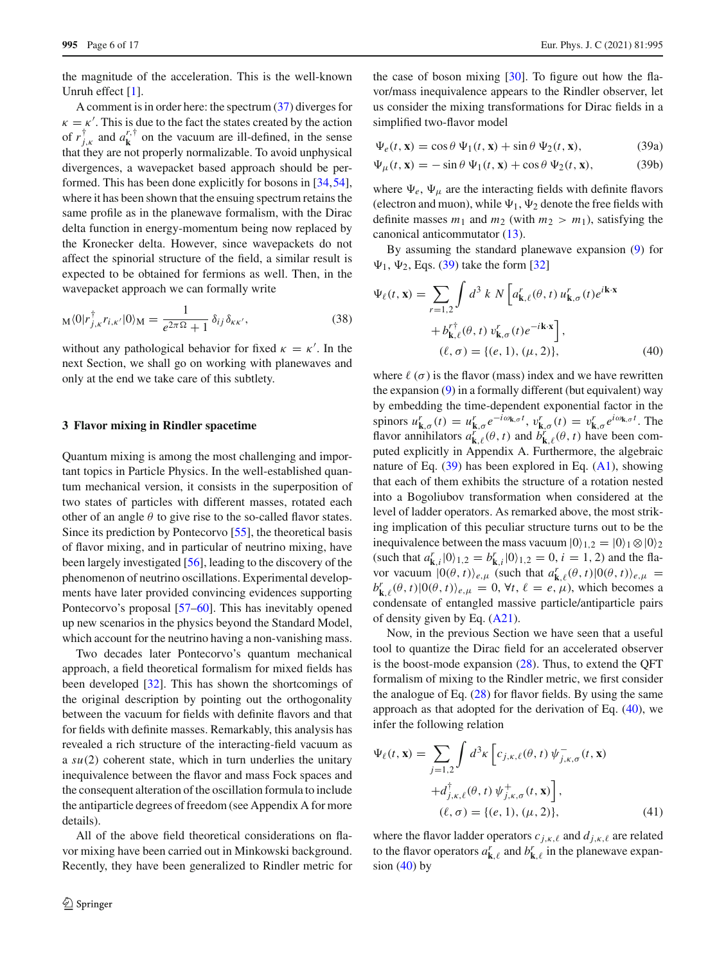the magnitude of the acceleration. This is the well-known Unruh effect [\[1](#page-15-0)].

A comment is in order here: the spectrum [\(37\)](#page-4-3) diverges for  $\kappa = \kappa'$ . This is due to the fact the states created by the action of  $r_{j,k}^{\dagger}$  and  $a_{\mathbf{k}}^{r,\dagger}$  on the vacuum are ill-defined, in the sense that they are not properly normalizable. To avoid unphysical divergences, a wavepacket based approach should be performed. This has been done explicitly for bosons in [\[34](#page-15-19)[,54](#page-15-38)], where it has been shown that the ensuing spectrum retains the same profile as in the planewave formalism, with the Dirac delta function in energy-momentum being now replaced by the Kronecker delta. However, since wavepackets do not affect the spinorial structure of the field, a similar result is expected to be obtained for fermions as well. Then, in the wavepacket approach we can formally write

$$
M\langle 0|r_{j,\kappa}^{\dagger}r_{i,\kappa'}|0\rangle_{M} = \frac{1}{e^{2\pi\Omega}+1}\,\delta_{ij}\,\delta_{\kappa\kappa'},\tag{38}
$$

without any pathological behavior for fixed  $\kappa = \kappa'$ . In the next Section, we shall go on working with planewaves and only at the end we take care of this subtlety.

#### <span id="page-5-0"></span>**3 Flavor mixing in Rindler spacetime**

Quantum mixing is among the most challenging and important topics in Particle Physics. In the well-established quantum mechanical version, it consists in the superposition of two states of particles with different masses, rotated each other of an angle  $\theta$  to give rise to the so-called flavor states. Since its prediction by Pontecorvo [\[55\]](#page-15-39), the theoretical basis of flavor mixing, and in particular of neutrino mixing, have been largely investigated [\[56\]](#page-15-40), leading to the discovery of the phenomenon of neutrino oscillations. Experimental developments have later provided convincing evidences supporting Pontecorvo's proposal [\[57](#page-16-0)[–60\]](#page-16-1). This has inevitably opened up new scenarios in the physics beyond the Standard Model, which account for the neutrino having a non-vanishing mass.

Two decades later Pontecorvo's quantum mechanical approach, a field theoretical formalism for mixed fields has been developed [\[32\]](#page-15-17). This has shown the shortcomings of the original description by pointing out the orthogonality between the vacuum for fields with definite flavors and that for fields with definite masses. Remarkably, this analysis has revealed a rich structure of the interacting-field vacuum as a *su*(2) coherent state, which in turn underlies the unitary inequivalence between the flavor and mass Fock spaces and the consequent alteration of the oscillation formula to include the antiparticle degrees of freedom (see Appendix A for more details).

All of the above field theoretical considerations on flavor mixing have been carried out in Minkowski background. Recently, they have been generalized to Rindler metric for <span id="page-5-1"></span>the case of boson mixing  $[30]$ . To figure out how the flavor/mass inequivalence appears to the Rindler observer, let us consider the mixing transformations for Dirac fields in a simplified two-flavor model

$$
\Psi_e(t, \mathbf{x}) = \cos \theta \, \Psi_1(t, \mathbf{x}) + \sin \theta \, \Psi_2(t, \mathbf{x}), \tag{39a}
$$

$$
\Psi_{\mu}(t, \mathbf{x}) = -\sin\theta \, \Psi_1(t, \mathbf{x}) + \cos\theta \, \Psi_2(t, \mathbf{x}),\tag{39b}
$$

where  $\Psi_e$ ,  $\Psi_\mu$  are the interacting fields with definite flavors (electron and muon), while  $\Psi_1$ ,  $\Psi_2$  denote the free fields with definite masses  $m_1$  and  $m_2$  (with  $m_2 > m_1$ ), satisfying the canonical anticommutator [\(13\)](#page-2-5).

By assuming the standard planewave expansion [\(9\)](#page-2-3) for  $\Psi_1$ ,  $\Psi_2$ , Eqs. [\(39\)](#page-5-1) take the form [\[32\]](#page-15-17)

<span id="page-5-2"></span>
$$
\Psi_{\ell}(t, \mathbf{x}) = \sum_{r=1,2} \int d^3 k \, N \left[ a_{\mathbf{k},\ell}^r(\theta, t) \, u_{\mathbf{k},\sigma}^r(t) e^{i\mathbf{k}\cdot\mathbf{x}} \right. \left. + b_{\mathbf{k},\ell}^{r\dagger}(\theta, t) \, v_{\mathbf{k},\sigma}^r(t) e^{-i\mathbf{k}\cdot\mathbf{x}} \right], \n(\ell, \sigma) = \{ (e, 1), (\mu, 2) \},
$$
\n(40)

where  $\ell(\sigma)$  is the flavor (mass) index and we have rewritten the expansion [\(9\)](#page-2-3) in a formally different (but equivalent) way by embedding the time-dependent exponential factor in the spinors  $u_{\mathbf{k},\sigma}^r(t) = u_{\mathbf{k},\sigma}^r e^{-i\omega_{\mathbf{k},\sigma}t}$ ,  $v_{\mathbf{k},\sigma}^r(t) = v_{\mathbf{k},\sigma}^r e^{i\omega_{\mathbf{k},\sigma}t}$ . The flavor annihilators  $a_{\mathbf{k},\ell}^r(\theta, t)$  and  $b_{\mathbf{k},\ell}^r(\theta, t)$  have been computed explicitly in Appendix A. Furthermore, the algebraic nature of Eq.  $(39)$  has been explored in Eq.  $(A1)$ , showing that each of them exhibits the structure of a rotation nested into a Bogoliubov transformation when considered at the level of ladder operators. As remarked above, the most striking implication of this peculiar structure turns out to be the inequivalence between the mass vacuum  $|0\rangle_{1,2} = |0\rangle_1 \otimes |0\rangle_2$  $(\text{such that } a_{\mathbf{k},i}^r | 0 \rangle_{1,2} = b_{\mathbf{k},i}^r | 0 \rangle_{1,2} = 0, i = 1, 2)$  and the flavor vacuum  $|0(\theta, t)\rangle_{e,\mu}$  (such that  $a_{\mathbf{k},\ell}^r(\theta, t)|0(\theta, t)\rangle_{e,\mu}$  =  $b_{\mathbf{k},\ell}^r(\theta, t)|0(\theta, t)\rangle_{e,\mu} = 0$ ,  $\forall t, \ell = e, \mu$ ), which becomes a condensate of entangled massive particle/antiparticle pairs of density given by Eq. [\(A21\)](#page-14-0).

Now, in the previous Section we have seen that a useful tool to quantize the Dirac field for an accelerated observer is the boost-mode expansion  $(28)$ . Thus, to extend the QFT formalism of mixing to the Rindler metric, we first consider the analogue of Eq.  $(28)$  for flavor fields. By using the same approach as that adopted for the derivation of Eq. [\(40\)](#page-5-2), we infer the following relation

<span id="page-5-3"></span>
$$
\Psi_{\ell}(t, \mathbf{x}) = \sum_{j=1,2} \int d^{3} \kappa \left[ c_{j,\kappa,\ell}(\theta, t) \, \psi_{j,\kappa,\sigma}^{-}(t, \mathbf{x}) \right. \left. + d_{j,\kappa,\ell}^{\dagger}(\theta, t) \, \psi_{j,\kappa,\sigma}^{+}(t, \mathbf{x}) \right], \n(\ell, \sigma) = \{ (e, 1), (\mu, 2) \},
$$
\n(41)

where the flavor ladder operators  $c_{j,k,\ell}$  and  $d_{j,k,\ell}$  are related to the flavor operators  $a_{\mathbf{k},\ell}^r$  and  $b_{\mathbf{k},\ell}^r$  in the planewave expansion  $(40)$  by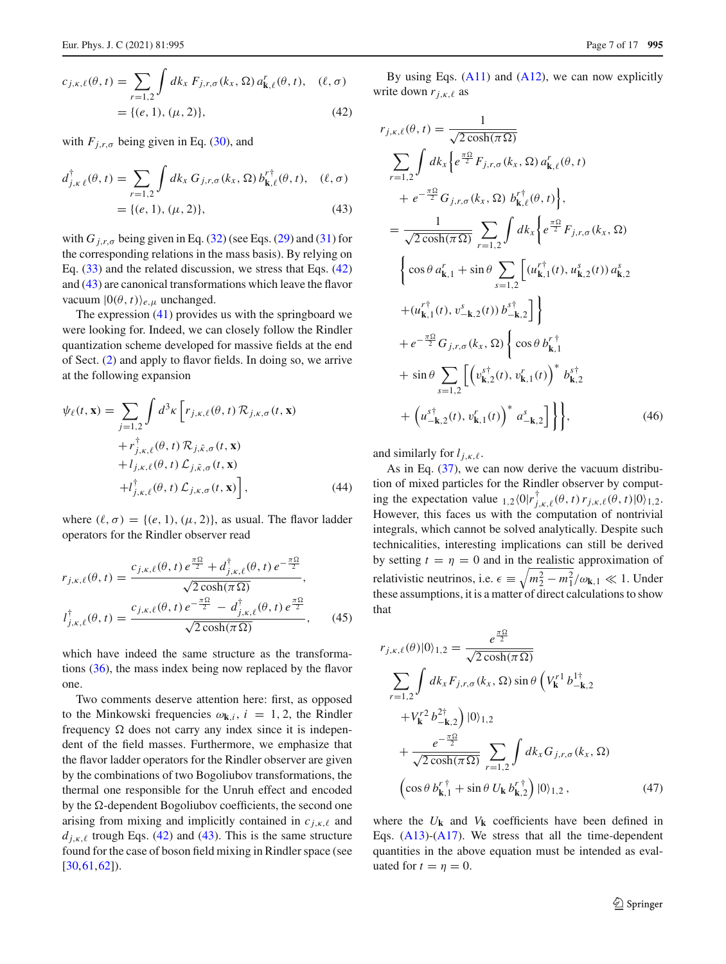<span id="page-6-0"></span>
$$
c_{j,\kappa,\ell}(\theta, t) = \sum_{r=1,2} \int dk_x F_{j,r,\sigma}(k_x, \Omega) a'_{\mathbf{k},\ell}(\theta, t), \quad (\ell, \sigma) = \{(\ell, 1), (\mu, 2)\},
$$
 (42)

with  $F_{i,r,\sigma}$  being given in Eq. [\(30\)](#page-4-0), and

<span id="page-6-1"></span>
$$
d_{j,k\ell}^{\dagger}(\theta, t) = \sum_{r=1,2} \int dk_x G_{j,r,\sigma}(k_x, \Omega) b_{\mathbf{k},\ell}^{r\dagger}(\theta, t), \quad (\ell, \sigma) = \{(\ell, 1), (\mu, 2)\}, \tag{43}
$$

with  $G_{j,r,\sigma}$  being given in Eq. [\(32\)](#page-4-1) (see Eqs. [\(29\)](#page-4-0) and [\(31\)](#page-4-1) for the corresponding relations in the mass basis). By relying on Eq. [\(33\)](#page-4-4) and the related discussion, we stress that Eqs. [\(42\)](#page-6-0) and [\(43\)](#page-6-1) are canonical transformations which leave the flavor vacuum  $|0(\theta, t)\rangle_{e,u}$  unchanged.

The expression  $(41)$  provides us with the springboard we were looking for. Indeed, we can closely follow the Rindler quantization scheme developed for massive fields at the end of Sect. [\(2\)](#page-1-0) and apply to flavor fields. In doing so, we arrive at the following expansion

$$
\psi_{\ell}(t, \mathbf{x}) = \sum_{j=1,2} \int d^{3} \kappa \left[ r_{j,\kappa,\ell}(\theta, t) \mathcal{R}_{j,\kappa,\sigma}(t, \mathbf{x}) + r_{j,\kappa,\ell}^{\dagger}(\theta, t) \mathcal{R}_{j,\tilde{\kappa},\sigma}(t, \mathbf{x}) + l_{j,\kappa,\ell}(\theta, t) \mathcal{L}_{j,\tilde{\kappa},\sigma}(t, \mathbf{x}) + l_{j,\kappa,\ell}^{\dagger}(\theta, t) \mathcal{L}_{j,\kappa,\sigma}(t, \mathbf{x}) \right],
$$
\n(44)

where  $(\ell, \sigma) = \{(e, 1), (\mu, 2)\}\)$ , as usual. The flavor ladder operators for the Rindler observer read

$$
r_{j,\kappa,\ell}(\theta,t) = \frac{c_{j,\kappa,\ell}(\theta,t) e^{\frac{\pi \Omega}{2}} + d_{j,\kappa,\ell}^{\dagger}(\theta,t) e^{-\frac{\pi \Omega}{2}}}{\sqrt{2\cosh(\pi \Omega)}},
$$
  

$$
l_{j,\kappa,\ell}^{\dagger}(\theta,t) = \frac{c_{j,\kappa,\ell}(\theta,t) e^{-\frac{\pi \Omega}{2}} - d_{j,\kappa,\ell}^{\dagger}(\theta,t) e^{\frac{\pi \Omega}{2}}}{\sqrt{2\cosh(\pi \Omega)}},
$$
(45)

which have indeed the same structure as the transformations [\(36\)](#page-4-5), the mass index being now replaced by the flavor one.

Two comments deserve attention here: first, as opposed to the Minkowski frequencies  $\omega_{\mathbf{k},i}$ ,  $i = 1, 2$ , the Rindler frequency  $\Omega$  does not carry any index since it is independent of the field masses. Furthermore, we emphasize that the flavor ladder operators for the Rindler observer are given by the combinations of two Bogoliubov transformations, the thermal one responsible for the Unruh effect and encoded by the  $\Omega$ -dependent Bogoliubov coefficients, the second one arising from mixing and implicitly contained in  $c_{j,k,\ell}$  and  $d_{j,k,\ell}$  trough Eqs. [\(42\)](#page-6-0) and [\(43\)](#page-6-1). This is the same structure found for the case of boson field mixing in Rindler space (see [\[30](#page-15-15),[61,](#page-16-2)[62\]](#page-16-3)).

By using Eqs.  $(A11)$  and  $(A12)$ , we can now explicitly write down  $r_{j,k,\ell}$  as

$$
r_{j,\kappa,\ell}(\theta, t) = \frac{1}{\sqrt{2\cosh(\pi\Omega)}}
$$
  
\n
$$
\sum_{r=1,2} \int dk_x \left\{ e^{\frac{\pi\Omega}{2}} F_{j,r,\sigma}(k_x, \Omega) a_{\mathbf{k},\ell}^r(\theta, t) + e^{-\frac{\pi\Omega}{2}} G_{j,r,\sigma}(k_x, \Omega) b_{\mathbf{k},\ell}^{r\dagger}(\theta, t) \right\},
$$
  
\n
$$
= \frac{1}{\sqrt{2\cosh(\pi\Omega)}} \sum_{r=1,2} \int dk_x \left\{ e^{\frac{\pi\Omega}{2}} F_{j,r,\sigma}(k_x, \Omega) \right\}
$$
  
\n
$$
\left\{ \cos\theta a_{\mathbf{k},1}^r + \sin\theta \sum_{s=1,2} \left[ (u_{\mathbf{k},1}^{r\dagger}(t), u_{\mathbf{k},2}^s(t)) a_{\mathbf{k},2}^s + (u_{\mathbf{k},1}^{r\dagger}(t), v_{-\mathbf{k},2}^s(t)) b_{-\mathbf{k},2}^{s\dagger} \right] \right\}
$$
  
\n
$$
+ e^{-\frac{\pi\Omega}{2}} G_{j,r,\sigma}(k_x, \Omega) \left\{ \cos\theta b_{\mathbf{k},1}^{r\dagger}
$$
  
\n
$$
+ \sin\theta \sum_{s=1,2} \left[ \left( v_{\mathbf{k},2}^{s\dagger}(t), v_{\mathbf{k},1}^r(t) \right)^* b_{\mathbf{k},2}^{s\dagger} + \left( u_{-\mathbf{k},2}^{s\dagger}(t), v_{\mathbf{k},1}^r(t) \right)^* a_{-\mathbf{k},2}^s \right] \right\},
$$
  
\n(46)

and similarly for  $l_{i,k,\ell}$ .

As in Eq. [\(37\)](#page-4-3), we can now derive the vacuum distribution of mixed particles for the Rindler observer by computing the expectation value  $_{1,2}\langle 0|r_{j,\kappa,\ell}^{\dagger}(\theta, t) r_{j,\kappa,\ell}(\theta, t)|0\rangle_{1,2}$ . However, this faces us with the computation of nontrivial integrals, which cannot be solved analytically. Despite such technicalities, interesting implications can still be derived by setting  $t = \eta = 0$  and in the realistic approximation of relativistic neutrinos, i.e.  $\epsilon \equiv \sqrt{m_2^2 - m_1^2/\omega_{\mathbf{k},1}} \ll 1$ . Under these assumptions, it is a matter of direct calculations to show that

$$
r_{j,\kappa,\ell}(\theta)|0\rangle_{1,2} = \frac{e^{\frac{\pi\Omega}{2}}}{\sqrt{2\cosh(\pi\Omega)}}
$$
  

$$
\sum_{r=1,2} \int dk_x F_{j,r,\sigma}(k_x,\Omega) \sin\theta \left(V_k^{r1} b_{-\mathbf{k},2}^{1\dagger} + V_k^{r2} b_{-\mathbf{k},2}^{2\dagger}\right)|0\rangle_{1,2}
$$
  

$$
+ \frac{e^{-\frac{\pi\Omega}{2}}}{\sqrt{2\cosh(\pi\Omega)}} \sum_{r=1,2} \int dk_x G_{j,r,\sigma}(k_x,\Omega)
$$
  

$$
\left(\cos\theta b_{\mathbf{k},1}^{r\dagger} + \sin\theta U_{\mathbf{k}} b_{\mathbf{k},2}^{r\dagger}\right)|0\rangle_{1,2},
$$
 (47)

where the  $U_{\bf k}$  and  $V_{\bf k}$  coefficients have been defined in Eqs.  $(A13)-(A17)$  $(A13)-(A17)$  $(A13)-(A17)$ . We stress that all the time-dependent quantities in the above equation must be intended as evaluated for  $t = \eta = 0$ .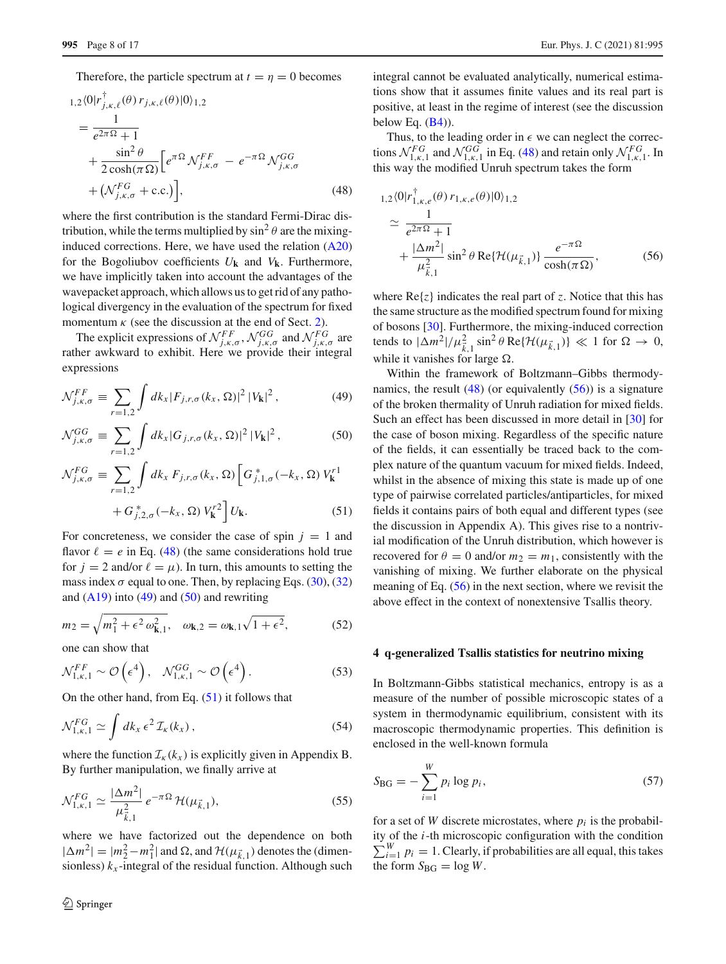Therefore, the particle spectrum at  $t = \eta = 0$  becomes

<span id="page-7-1"></span>
$$
1,2\langle 0|r_{j,\kappa,\ell}^{\dagger}(\theta)r_{j,\kappa,\ell}(\theta)|0\rangle_{1,2}
$$
  
\n
$$
=\frac{1}{e^{2\pi\Omega}+1}
$$
  
\n
$$
+\frac{\sin^2\theta}{2\cosh(\pi\Omega)}\Big[e^{\pi\Omega}\mathcal{N}_{j,\kappa,\sigma}^{FF}-e^{-\pi\Omega}\mathcal{N}_{j,\kappa,\sigma}^{GG}
$$
  
\n
$$
+\big(\mathcal{N}_{j,\kappa,\sigma}^{FG}+c.c.\big)\Big],
$$
\n(48)

where the first contribution is the standard Fermi-Dirac distribution, while the terms multiplied by  $\sin^2 \theta$  are the mixinginduced corrections. Here, we have used the relation  $(A20)$ for the Bogoliubov coefficients  $U_{\bf k}$  and  $V_{\bf k}$ . Furthermore, we have implicitly taken into account the advantages of the wavepacket approach, which allows us to get rid of any pathological divergency in the evaluation of the spectrum for fixed momentum  $\kappa$  (see the discussion at the end of Sect. [2\)](#page-1-0).

The explicit expressions of  $\mathcal{N}_{j,k,\sigma}^{FF}$ ,  $\mathcal{N}_{j,k,\sigma}^{GG}$  and  $\mathcal{N}_{j,k,\sigma}^{FG}$  are rather awkward to exhibit. Here we provide their integral expressions

<span id="page-7-2"></span>
$$
\mathcal{N}_{j,\kappa,\sigma}^{FF} \equiv \sum_{r=1,2} \int dk_x |F_{j,r,\sigma}(k_x,\Omega)|^2 |V_{\mathbf{k}}|^2, \tag{49}
$$

$$
\mathcal{N}_{j,\kappa,\sigma}^{GG} \equiv \sum_{r=1,2} \int dk_x |G_{j,r,\sigma}(k_x,\Omega)|^2 |V_{\mathbf{k}}|^2, \tag{50}
$$

$$
\mathcal{N}_{j,\kappa,\sigma}^{FG} \equiv \sum_{r=1,2} \int dk_x F_{j,r,\sigma}(k_x,\Omega) \left[ G_{j,1,\sigma}^*(-k_x,\Omega) V_{\mathbf{k}}^{r1} + G_{j,2,\sigma}^*(-k_x,\Omega) V_{\mathbf{k}}^{r2} \right] U_{\mathbf{k}}.
$$
\n(51)

For concreteness, we consider the case of spin  $j = 1$  and flavor  $\ell = e$  in Eq. [\(48\)](#page-7-1) (the same considerations hold true for  $j = 2$  and/or  $\ell = \mu$ ). In turn, this amounts to setting the mass index  $\sigma$  equal to one. Then, by replacing Eqs. [\(30\)](#page-4-0), [\(32\)](#page-4-1) and  $(A19)$  into  $(49)$  and  $(50)$  and rewriting

$$
m_2 = \sqrt{m_1^2 + \epsilon^2 \omega_{\mathbf{k},1}^2}, \quad \omega_{\mathbf{k},2} = \omega_{\mathbf{k},1} \sqrt{1 + \epsilon^2}, \tag{52}
$$

one can show that

$$
\mathcal{N}_{1,\kappa,1}^{FF} \sim \mathcal{O}\left(\epsilon^4\right), \quad \mathcal{N}_{1,\kappa,1}^{GG} \sim \mathcal{O}\left(\epsilon^4\right). \tag{53}
$$

On the other hand, from Eq.  $(51)$  it follows that

$$
\mathcal{N}_{1,\kappa,1}^{FG} \simeq \int dk_x \,\epsilon^2 \,\mathcal{I}_{\kappa}(k_x) \,, \tag{54}
$$

where the function  $\mathcal{I}_{k}(k_{x})$  is explicitly given in Appendix B. By further manipulation, we finally arrive at

$$
\mathcal{N}_{1,\kappa,1}^{FG} \simeq \frac{|\Delta m^2|}{\mu_{\vec{k},1}^2} e^{-\pi \Omega} \mathcal{H}(\mu_{\vec{k},1}),
$$
\n(55)

where we have factorized out the dependence on both  $|\Delta m^2| = |m_2^2 - m_1^2|$  and  $\Omega$ , and  $\mathcal{H}(\mu_{\vec{k},1})$  denotes the (dimensionless)  $k_x$ -integral of the residual function. Although such integral cannot be evaluated analytically, numerical estimations show that it assumes finite values and its real part is positive, at least in the regime of interest (see the discussion below Eq.  $(B4)$ ).

Thus, to the leading order in  $\epsilon$  we can neglect the corrections  $\mathcal{N}_{1,\kappa,1}^{FG}$  and  $\mathcal{N}_{1,\kappa,1}^{GG}$  in Eq. [\(48\)](#page-7-1) and retain only  $\mathcal{N}_{1,\kappa,1}^{FG}$ . In this way the modified Unruh spectrum takes the form

<span id="page-7-3"></span>
$$
_{1,2}\langle 0|r_{1,\kappa,e}^{\dagger}(\theta)r_{1,\kappa,e}(\theta)|0\rangle_{1,2}
$$
\n
$$
\simeq \frac{1}{e^{2\pi\Omega}+1} + \frac{|\Delta m^2|}{\mu_{\vec{k},1}^2} \sin^2 \theta \operatorname{Re}\{\mathcal{H}(\mu_{\vec{k},1})\} \frac{e^{-\pi\Omega}}{\cosh(\pi\Omega)},
$$
\n(56)

where  $Re\{z\}$  indicates the real part of *z*. Notice that this has the same structure as the modified spectrum found for mixing of bosons [\[30](#page-15-15)]. Furthermore, the mixing-induced correction tends to  $|\Delta m^2|/\mu_{\vec{k},1}^2 \sin^2 \theta \operatorname{Re}\{\mathcal{H}(\mu_{\vec{k},1})\} \ll 1$  for  $\Omega \to 0$ , while it vanishes for large  $\Omega$ .

Within the framework of Boltzmann–Gibbs thermodynamics, the result  $(48)$  (or equivalently  $(56)$ ) is a signature of the broken thermality of Unruh radiation for mixed fields. Such an effect has been discussed in more detail in [\[30\]](#page-15-15) for the case of boson mixing. Regardless of the specific nature of the fields, it can essentially be traced back to the complex nature of the quantum vacuum for mixed fields. Indeed, whilst in the absence of mixing this state is made up of one type of pairwise correlated particles/antiparticles, for mixed fields it contains pairs of both equal and different types (see the discussion in Appendix A). This gives rise to a nontrivial modification of the Unruh distribution, which however is recovered for  $\theta = 0$  and/or  $m_2 = m_1$ , consistently with the vanishing of mixing. We further elaborate on the physical meaning of Eq. [\(56\)](#page-7-3) in the next section, where we revisit the above effect in the context of nonextensive Tsallis theory.

#### <span id="page-7-0"></span>**4 q-generalized Tsallis statistics for neutrino mixing**

In Boltzmann-Gibbs statistical mechanics, entropy is as a measure of the number of possible microscopic states of a system in thermodynamic equilibrium, consistent with its macroscopic thermodynamic properties. This definition is enclosed in the well-known formula

<span id="page-7-4"></span>
$$
S_{\text{BG}} = -\sum_{i=1}^{W} p_i \log p_i, \tag{57}
$$

for a set of *W* discrete microstates, where  $p_i$  is the probability of the *i*-th microscopic configuration with the condition  $\sum_{i=1}^{W} p_i = 1$ . Clearly, if probabilities are all equal, this takes the form  $S_{BG} = \log W$ .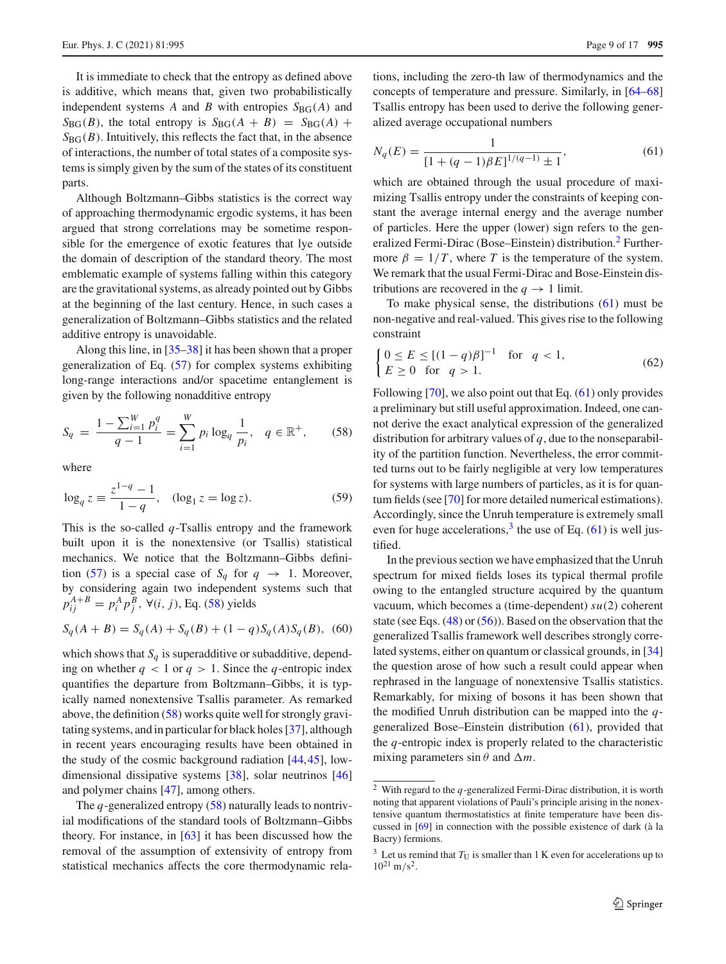It is immediate to check that the entropy as defined above is additive, which means that, given two probabilistically independent systems *A* and *B* with entropies  $S_{BG}(A)$  and  $S_{BG}(B)$ , the total entropy is  $S_{BG}(A + B) = S_{BG}(A) +$  $S_{BG}(B)$ . Intuitively, this reflects the fact that, in the absence of interactions, the number of total states of a composite systems is simply given by the sum of the states of its constituent parts.

Although Boltzmann–Gibbs statistics is the correct way of approaching thermodynamic ergodic systems, it has been argued that strong correlations may be sometime responsible for the emergence of exotic features that lye outside the domain of description of the standard theory. The most emblematic example of systems falling within this category are the gravitational systems, as already pointed out by Gibbs at the beginning of the last century. Hence, in such cases a generalization of Boltzmann–Gibbs statistics and the related additive entropy is unavoidable.

Along this line, in [\[35](#page-15-20)[–38](#page-15-21)] it has been shown that a proper generalization of Eq. [\(57\)](#page-7-4) for complex systems exhibiting long-range interactions and/or spacetime entanglement is given by the following nonadditive entropy

<span id="page-8-0"></span>
$$
S_q = \frac{1 - \sum_{i=1}^{W} p_i^q}{q - 1} = \sum_{i=1}^{W} p_i \log_q \frac{1}{p_i}, \quad q \in \mathbb{R}^+, \tag{58}
$$

where

$$
\log_q z \equiv \frac{z^{1-q} - 1}{1-q}, \quad (\log_1 z = \log z). \tag{59}
$$

This is the so-called *q*-Tsallis entropy and the framework built upon it is the nonextensive (or Tsallis) statistical mechanics. We notice that the Boltzmann–Gibbs defini-tion [\(57\)](#page-7-4) is a special case of  $S_q$  for  $q \rightarrow 1$ . Moreover, by considering again two independent systems such that  $p_{ij}^{A+B} = p_i^A p_j^B$ ,  $\forall (i, j)$ , Eq. [\(58\)](#page-8-0) yields

<span id="page-8-4"></span>
$$
S_q(A + B) = S_q(A) + S_q(B) + (1 - q)S_q(A)S_q(B),
$$
 (60)

which shows that  $S_q$  is superadditive or subadditive, depending on whether  $q < 1$  or  $q > 1$ . Since the *q*-entropic index quantifies the departure from Boltzmann–Gibbs, it is typically named nonextensive Tsallis parameter. As remarked above, the definition [\(58\)](#page-8-0) works quite well for strongly gravitating systems, and in particular for black holes [\[37](#page-15-27)], although in recent years encouraging results have been obtained in the study of the cosmic background radiation [\[44](#page-15-28),[45](#page-15-29)], lowdimensional dissipative systems [\[38\]](#page-15-21), solar neutrinos [\[46\]](#page-15-30) and polymer chains [\[47\]](#page-15-31), among others.

The *q*-generalized entropy [\(58\)](#page-8-0) naturally leads to nontrivial modifications of the standard tools of Boltzmann–Gibbs theory. For instance, in [\[63](#page-16-4)] it has been discussed how the removal of the assumption of extensivity of entropy from statistical mechanics affects the core thermodynamic relations, including the zero-th law of thermodynamics and the concepts of temperature and pressure. Similarly, in [\[64](#page-16-5)[–68\]](#page-16-6) Tsallis entropy has been used to derive the following generalized average occupational numbers

<span id="page-8-2"></span>
$$
N_q(E) = \frac{1}{[1 + (q-1)\beta E]^{1/(q-1)} \pm 1},\tag{61}
$$

which are obtained through the usual procedure of maximizing Tsallis entropy under the constraints of keeping constant the average internal energy and the average number of particles. Here the upper (lower) sign refers to the generalized Fermi-Dirac (Bose–Einstein) distribution.[2](#page-8-1) Furthermore  $\beta = 1/T$ , where *T* is the temperature of the system. We remark that the usual Fermi-Dirac and Bose-Einstein distributions are recovered in the  $q \to 1$  limit.

To make physical sense, the distributions  $(61)$  must be non-negative and real-valued. This gives rise to the following constraint

<span id="page-8-5"></span>
$$
\begin{cases} 0 \le E \le [(1-q)\beta]^{-1} & \text{for } q < 1, \\ E \ge 0 & \text{for } q > 1. \end{cases} \tag{62}
$$

Following  $[70]$  $[70]$ , we also point out that Eq.  $(61)$  only provides a preliminary but still useful approximation. Indeed, one cannot derive the exact analytical expression of the generalized distribution for arbitrary values of *q*, due to the nonseparability of the partition function. Nevertheless, the error committed turns out to be fairly negligible at very low temperatures for systems with large numbers of particles, as it is for quantum fields (see [\[70\]](#page-16-7) for more detailed numerical estimations). Accordingly, since the Unruh temperature is extremely small even for huge accelerations,  $3$  the use of Eq. [\(61\)](#page-8-2) is well justified.

In the previous section we have emphasized that the Unruh spectrum for mixed fields loses its typical thermal profile owing to the entangled structure acquired by the quantum vacuum, which becomes a (time-dependent) *su*(2) coherent state (see Eqs. [\(48\)](#page-7-1) or [\(56\)](#page-7-3)). Based on the observation that the generalized Tsallis framework well describes strongly correlated systems, either on quantum or classical grounds, in [\[34\]](#page-15-19) the question arose of how such a result could appear when rephrased in the language of nonextensive Tsallis statistics. Remarkably, for mixing of bosons it has been shown that the modified Unruh distribution can be mapped into the *q*generalized Bose–Einstein distribution [\(61\)](#page-8-2), provided that the *q*-entropic index is properly related to the characteristic mixing parameters  $\sin \theta$  and  $\Delta m$ .

<span id="page-8-1"></span><sup>2</sup> With regard to the *q*-generalized Fermi-Dirac distribution, it is worth noting that apparent violations of Pauli's principle arising in the nonextensive quantum thermostatistics at finite temperature have been discussed in [\[69\]](#page-16-8) in connection with the possible existence of dark (à la Bacry) fermions.

<span id="page-8-3"></span> $3$  Let us remind that  $T_U$  is smaller than 1 K even for accelerations up to  $10^{21}$  m/s<sup>2</sup>.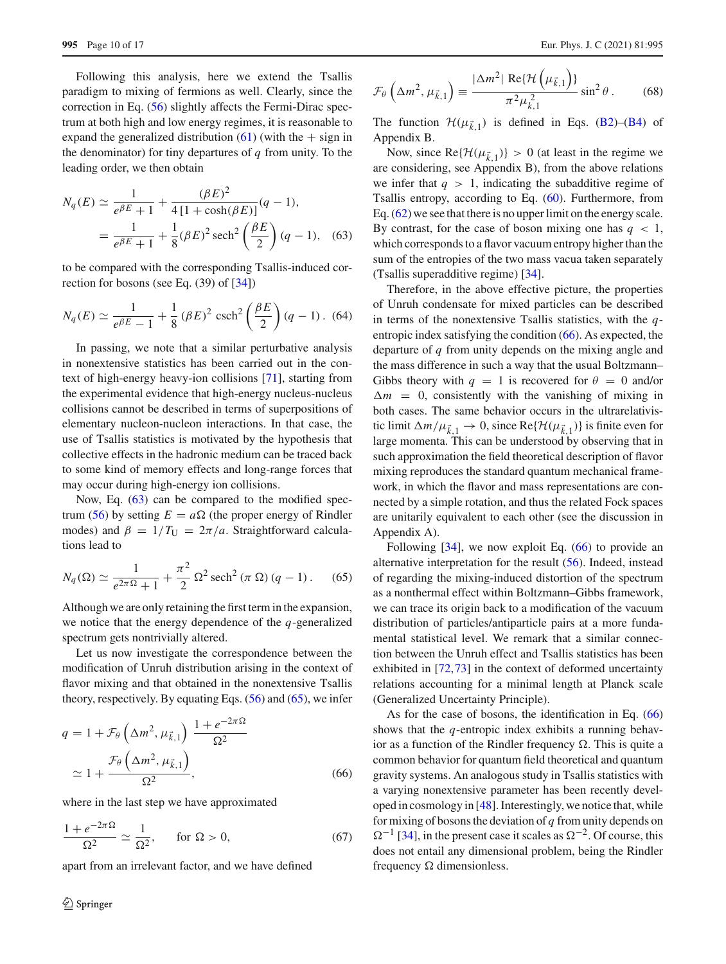Following this analysis, here we extend the Tsallis paradigm to mixing of fermions as well. Clearly, since the correction in Eq. [\(56\)](#page-7-3) slightly affects the Fermi-Dirac spectrum at both high and low energy regimes, it is reasonable to expand the generalized distribution  $(61)$  (with the  $+$  sign in the denominator) for tiny departures of *q* from unity. To the leading order, we then obtain

<span id="page-9-0"></span>
$$
N_q(E) \simeq \frac{1}{e^{\beta E} + 1} + \frac{(\beta E)^2}{4[1 + \cosh(\beta E)]}(q - 1),
$$
  
= 
$$
\frac{1}{e^{\beta E} + 1} + \frac{1}{8}(\beta E)^2 \operatorname{sech}^2\left(\frac{\beta E}{2}\right)(q - 1), \quad (63)
$$

to be compared with the corresponding Tsallis-induced correction for bosons (see Eq. (39) of [\[34](#page-15-19)])

$$
N_q(E) \simeq \frac{1}{e^{\beta E} - 1} + \frac{1}{8} (\beta E)^2 \operatorname{csch}^2\left(\frac{\beta E}{2}\right) (q - 1). (64)
$$

In passing, we note that a similar perturbative analysis in nonextensive statistics has been carried out in the context of high-energy heavy-ion collisions [\[71](#page-16-9)], starting from the experimental evidence that high-energy nucleus-nucleus collisions cannot be described in terms of superpositions of elementary nucleon-nucleon interactions. In that case, the use of Tsallis statistics is motivated by the hypothesis that collective effects in the hadronic medium can be traced back to some kind of memory effects and long-range forces that may occur during high-energy ion collisions.

Now, Eq. [\(63\)](#page-9-0) can be compared to the modified spec-trum [\(56\)](#page-7-3) by setting  $E = a\Omega$  (the proper energy of Rindler modes) and  $\beta = 1/T_U = 2\pi/a$ . Straightforward calculations lead to

<span id="page-9-1"></span>
$$
N_q(\Omega) \simeq \frac{1}{e^{2\pi\Omega} + 1} + \frac{\pi^2}{2} \Omega^2 \operatorname{sech}^2(\pi \Omega) (q - 1).
$$
 (65)

Although we are only retaining the first term in the expansion, we notice that the energy dependence of the *q*-generalized spectrum gets nontrivially altered.

Let us now investigate the correspondence between the modification of Unruh distribution arising in the context of flavor mixing and that obtained in the nonextensive Tsallis theory, respectively. By equating Eqs.  $(56)$  and  $(65)$ , we infer

<span id="page-9-2"></span>
$$
q = 1 + \mathcal{F}_{\theta}\left(\Delta m^2, \mu_{\vec{k},1}\right) \frac{1 + e^{-2\pi\Omega}}{\Omega^2}
$$

$$
\simeq 1 + \frac{\mathcal{F}_{\theta}\left(\Delta m^2, \mu_{\vec{k},1}\right)}{\Omega^2},\tag{66}
$$

where in the last step we have approximated

$$
\frac{1+e^{-2\pi\Omega}}{\Omega^2} \simeq \frac{1}{\Omega^2}, \quad \text{for } \Omega > 0,
$$
 (67)

apart from an irrelevant factor, and we have defined

<span id="page-9-3"></span>
$$
\mathcal{F}_{\theta}\left(\Delta m^2, \mu_{\vec{k},1}\right) \equiv \frac{|\Delta m^2| \operatorname{Re}\{\mathcal{H}\left(\mu_{\vec{k},1}\right)\}}{\pi^2 \mu_{\vec{k},1}^2} \sin^2 \theta \,. \tag{68}
$$

The function  $\mathcal{H}(\mu_{\vec{k},1})$  is defined in Eqs. [\(B2\)](#page-12-2)–[\(B4\)](#page-12-1) of Appendix B.

Now, since  $\text{Re}\{\mathcal{H}(\mu_{\vec{k},1})\} > 0$  (at least in the regime we are considering, see Appendix B), from the above relations we infer that  $q > 1$ , indicating the subadditive regime of Tsallis entropy, according to Eq. [\(60\)](#page-8-4). Furthermore, from Eq. [\(62\)](#page-8-5) we see that there is no upper limit on the energy scale. By contrast, for the case of boson mixing one has  $q < 1$ , which corresponds to a flavor vacuum entropy higher than the sum of the entropies of the two mass vacua taken separately (Tsallis superadditive regime) [\[34\]](#page-15-19).

Therefore, in the above effective picture, the properties of Unruh condensate for mixed particles can be described in terms of the nonextensive Tsallis statistics, with the *q*entropic index satisfying the condition [\(66\)](#page-9-2). As expected, the departure of *q* from unity depends on the mixing angle and the mass difference in such a way that the usual Boltzmann– Gibbs theory with  $q = 1$  is recovered for  $\theta = 0$  and/or  $\Delta m = 0$ , consistently with the vanishing of mixing in both cases. The same behavior occurs in the ultrarelativistic limit  $\Delta m/\mu_{k,1} \to 0$ , since Re{ $\mathcal{H}(\mu_{k,1})$ } is finite even for large momenta. This can be understood by observing that in such approximation the field theoretical description of flavor mixing reproduces the standard quantum mechanical framework, in which the flavor and mass representations are connected by a simple rotation, and thus the related Fock spaces are unitarily equivalent to each other (see the discussion in Appendix A).

Following  $[34]$  $[34]$ , we now exploit Eq.  $(66)$  to provide an alternative interpretation for the result [\(56\)](#page-7-3). Indeed, instead of regarding the mixing-induced distortion of the spectrum as a nonthermal effect within Boltzmann–Gibbs framework, we can trace its origin back to a modification of the vacuum distribution of particles/antiparticle pairs at a more fundamental statistical level. We remark that a similar connection between the Unruh effect and Tsallis statistics has been exhibited in [\[72](#page-16-10)[,73](#page-16-11)] in the context of deformed uncertainty relations accounting for a minimal length at Planck scale (Generalized Uncertainty Principle).

As for the case of bosons, the identification in Eq. [\(66\)](#page-9-2) shows that the *q*-entropic index exhibits a running behavior as a function of the Rindler frequency  $\Omega$ . This is quite a common behavior for quantum field theoretical and quantum gravity systems. An analogous study in Tsallis statistics with a varying nonextensive parameter has been recently developed in cosmology in [\[48\]](#page-15-32). Interestingly, we notice that, while for mixing of bosons the deviation of *q* from unity depends on  $\Omega^{-1}$  [\[34](#page-15-19)], in the present case it scales as  $\Omega^{-2}$ . Of course, this does not entail any dimensional problem, being the Rindler frequency  $\Omega$  dimensionless.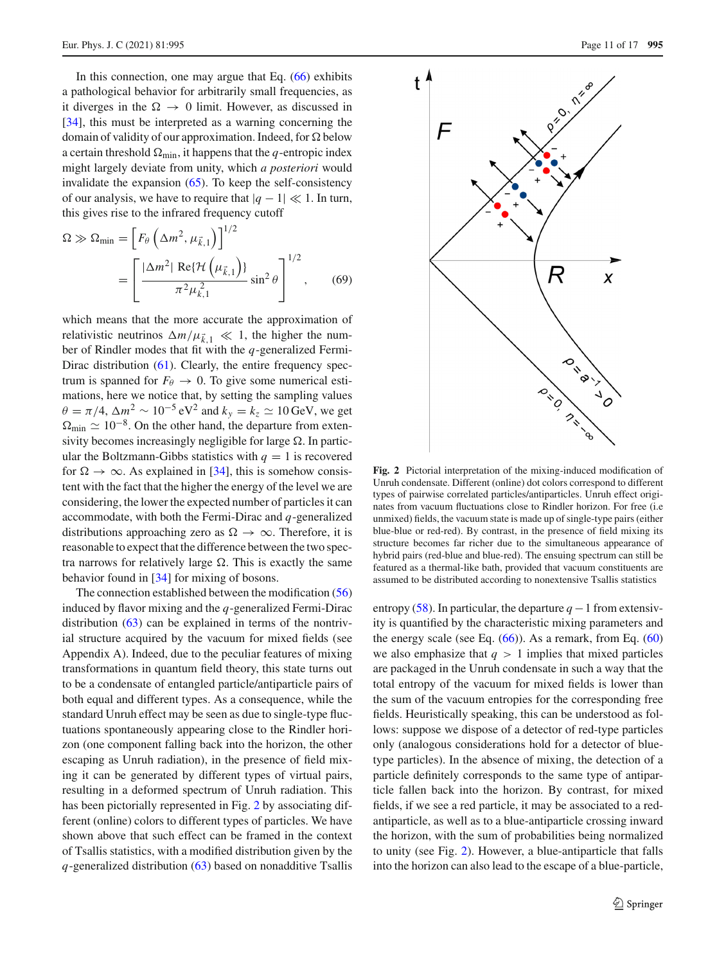In this connection, one may argue that Eq. [\(66\)](#page-9-2) exhibits a pathological behavior for arbitrarily small frequencies, as it diverges in the  $\Omega \rightarrow 0$  limit. However, as discussed in [\[34](#page-15-19)], this must be interpreted as a warning concerning the domain of validity of our approximation. Indeed, for  $\Omega$  below a certain threshold  $\Omega_{\text{min}}$ , it happens that the *q*-entropic index might largely deviate from unity, which *a posteriori* would invalidate the expansion  $(65)$ . To keep the self-consistency of our analysis, we have to require that  $|q - 1| \ll 1$ . In turn, this gives rise to the infrared frequency cutoff

$$
\Omega \gg \Omega_{\text{min}} = \left[ F_{\theta} \left( \Delta m^2, \mu_{\vec{k},1} \right) \right]^{1/2}
$$

$$
= \left[ \frac{|\Delta m^2| \text{ Re}\{\mathcal{H} \left( \mu_{\vec{k},1} \right) \}}{\pi^2 \mu_{\vec{k},1}^2} \sin^2 \theta \right]^{1/2}, \quad (69)
$$

which means that the more accurate the approximation of relativistic neutrinos  $\Delta m / \mu_{k,1} \ll 1$ , the higher the number of Rindler modes that fit with the *q*-generalized Fermi-Dirac distribution [\(61\)](#page-8-2). Clearly, the entire frequency spectrum is spanned for  $F_{\theta} \rightarrow 0$ . To give some numerical estimations, here we notice that, by setting the sampling values  $\theta = \pi/4$ ,  $\Delta m^2 \sim 10^{-5} \text{ eV}^2$  and  $k_y = k_z \simeq 10 \text{ GeV}$ , we get  $\Omega_{\text{min}} \simeq 10^{-8}$ . On the other hand, the departure from extensivity becomes increasingly negligible for large  $\Omega$ . In particular the Boltzmann-Gibbs statistics with  $q = 1$  is recovered for  $\Omega \to \infty$ . As explained in [\[34](#page-15-19)], this is somehow consistent with the fact that the higher the energy of the level we are considering, the lower the expected number of particles it can accommodate, with both the Fermi-Dirac and *q*-generalized distributions approaching zero as  $\Omega \to \infty$ . Therefore, it is reasonable to expect that the difference between the two spectra narrows for relatively large  $\Omega$ . This is exactly the same behavior found in [\[34](#page-15-19)] for mixing of bosons.

The connection established between the modification [\(56\)](#page-7-3) induced by flavor mixing and the *q*-generalized Fermi-Dirac distribution [\(63\)](#page-9-0) can be explained in terms of the nontrivial structure acquired by the vacuum for mixed fields (see Appendix A). Indeed, due to the peculiar features of mixing transformations in quantum field theory, this state turns out to be a condensate of entangled particle/antiparticle pairs of both equal and different types. As a consequence, while the standard Unruh effect may be seen as due to single-type fluctuations spontaneously appearing close to the Rindler horizon (one component falling back into the horizon, the other escaping as Unruh radiation), in the presence of field mixing it can be generated by different types of virtual pairs, resulting in a deformed spectrum of Unruh radiation. This has been pictorially represented in Fig. [2](#page-10-0) by associating different (online) colors to different types of particles. We have shown above that such effect can be framed in the context of Tsallis statistics, with a modified distribution given by the *q*-generalized distribution [\(63\)](#page-9-0) based on nonadditive Tsallis



<span id="page-10-0"></span>**Fig. 2** Pictorial interpretation of the mixing-induced modification of Unruh condensate. Different (online) dot colors correspond to different types of pairwise correlated particles/antiparticles. Unruh effect originates from vacuum fluctuations close to Rindler horizon. For free (i.e unmixed) fields, the vacuum state is made up of single-type pairs (either blue-blue or red-red). By contrast, in the presence of field mixing its structure becomes far richer due to the simultaneous appearance of hybrid pairs (red-blue and blue-red). The ensuing spectrum can still be featured as a thermal-like bath, provided that vacuum constituents are assumed to be distributed according to nonextensive Tsallis statistics

entropy [\(58\)](#page-8-0). In particular, the departure  $q-1$  from extensivity is quantified by the characteristic mixing parameters and the energy scale (see Eq.  $(66)$ ). As a remark, from Eq.  $(60)$ we also emphasize that  $q > 1$  implies that mixed particles are packaged in the Unruh condensate in such a way that the total entropy of the vacuum for mixed fields is lower than the sum of the vacuum entropies for the corresponding free fields. Heuristically speaking, this can be understood as follows: suppose we dispose of a detector of red-type particles only (analogous considerations hold for a detector of bluetype particles). In the absence of mixing, the detection of a particle definitely corresponds to the same type of antiparticle fallen back into the horizon. By contrast, for mixed fields, if we see a red particle, it may be associated to a redantiparticle, as well as to a blue-antiparticle crossing inward the horizon, with the sum of probabilities being normalized to unity (see Fig. [2\)](#page-10-0). However, a blue-antiparticle that falls into the horizon can also lead to the escape of a blue-particle,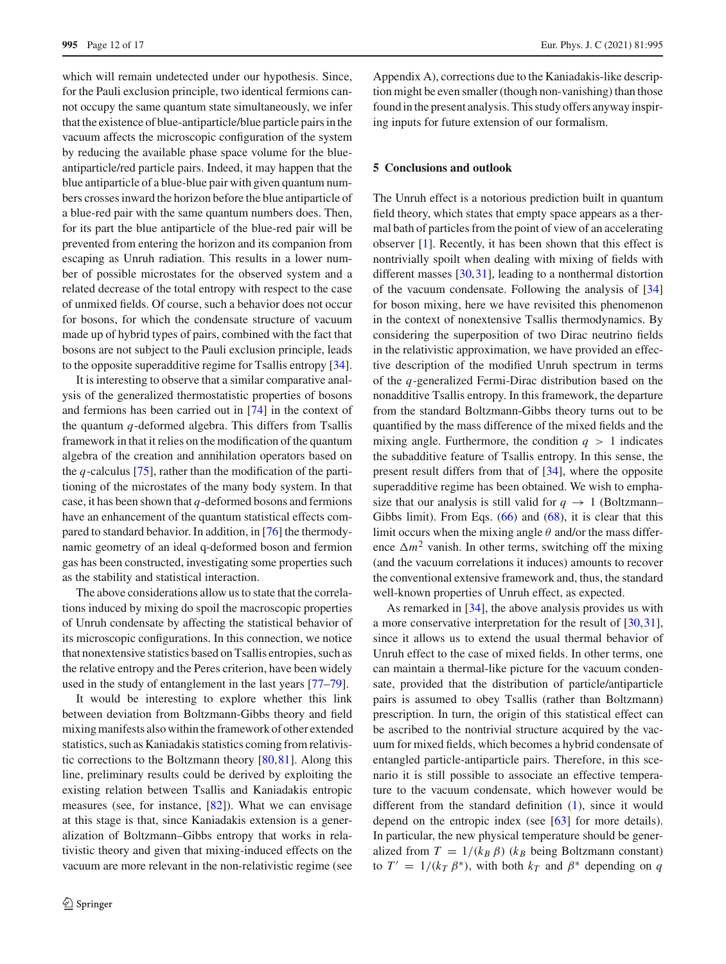which will remain undetected under our hypothesis. Since, for the Pauli exclusion principle, two identical fermions cannot occupy the same quantum state simultaneously, we infer that the existence of blue-antiparticle/blue particle pairs in the vacuum affects the microscopic configuration of the system by reducing the available phase space volume for the blueantiparticle/red particle pairs. Indeed, it may happen that the blue antiparticle of a blue-blue pair with given quantum numbers crosses inward the horizon before the blue antiparticle of a blue-red pair with the same quantum numbers does. Then, for its part the blue antiparticle of the blue-red pair will be prevented from entering the horizon and its companion from escaping as Unruh radiation. This results in a lower number of possible microstates for the observed system and a related decrease of the total entropy with respect to the case of unmixed fields. Of course, such a behavior does not occur for bosons, for which the condensate structure of vacuum made up of hybrid types of pairs, combined with the fact that bosons are not subject to the Pauli exclusion principle, leads to the opposite superadditive regime for Tsallis entropy [\[34](#page-15-19)].

It is interesting to observe that a similar comparative analysis of the generalized thermostatistic properties of bosons and fermions has been carried out in [\[74](#page-16-12)] in the context of the quantum *q*-deformed algebra. This differs from Tsallis framework in that it relies on the modification of the quantum algebra of the creation and annihilation operators based on the *q*-calculus [\[75\]](#page-16-13), rather than the modification of the partitioning of the microstates of the many body system. In that case, it has been shown that *q*-deformed bosons and fermions have an enhancement of the quantum statistical effects compared to standard behavior. In addition, in [\[76\]](#page-16-14) the thermodynamic geometry of an ideal q-deformed boson and fermion gas has been constructed, investigating some properties such as the stability and statistical interaction.

The above considerations allow us to state that the correlations induced by mixing do spoil the macroscopic properties of Unruh condensate by affecting the statistical behavior of its microscopic configurations. In this connection, we notice that nonextensive statistics based on Tsallis entropies, such as the relative entropy and the Peres criterion, have been widely used in the study of entanglement in the last years [\[77](#page-16-15)[–79\]](#page-16-16).

It would be interesting to explore whether this link between deviation from Boltzmann-Gibbs theory and field mixing manifests also within the framework of other extended statistics, such as Kaniadakis statistics coming from relativistic corrections to the Boltzmann theory [\[80](#page-16-17)[,81](#page-16-18)]. Along this line, preliminary results could be derived by exploiting the existing relation between Tsallis and Kaniadakis entropic measures (see, for instance, [\[82\]](#page-16-19)). What we can envisage at this stage is that, since Kaniadakis extension is a generalization of Boltzmann–Gibbs entropy that works in relativistic theory and given that mixing-induced effects on the vacuum are more relevant in the non-relativistic regime (see

Appendix A), corrections due to the Kaniadakis-like description might be even smaller (though non-vanishing) than those found in the present analysis. This study offers anyway inspiring inputs for future extension of our formalism.

## <span id="page-11-0"></span>**5 Conclusions and outlook**

The Unruh effect is a notorious prediction built in quantum field theory, which states that empty space appears as a thermal bath of particles from the point of view of an accelerating observer [\[1\]](#page-15-0). Recently, it has been shown that this effect is nontrivially spoilt when dealing with mixing of fields with different masses [\[30](#page-15-15)[,31](#page-15-16)], leading to a nonthermal distortion of the vacuum condensate. Following the analysis of [\[34\]](#page-15-19) for boson mixing, here we have revisited this phenomenon in the context of nonextensive Tsallis thermodynamics. By considering the superposition of two Dirac neutrino fields in the relativistic approximation, we have provided an effective description of the modified Unruh spectrum in terms of the *q*-generalized Fermi-Dirac distribution based on the nonadditive Tsallis entropy. In this framework, the departure from the standard Boltzmann-Gibbs theory turns out to be quantified by the mass difference of the mixed fields and the mixing angle. Furthermore, the condition  $q > 1$  indicates the subadditive feature of Tsallis entropy. In this sense, the present result differs from that of [\[34](#page-15-19)], where the opposite superadditive regime has been obtained. We wish to emphasize that our analysis is still valid for  $q \rightarrow 1$  (Boltzmann– Gibbs limit). From Eqs.  $(66)$  and  $(68)$ , it is clear that this limit occurs when the mixing angle  $\theta$  and/or the mass difference  $\Delta m^2$  vanish. In other terms, switching off the mixing (and the vacuum correlations it induces) amounts to recover the conventional extensive framework and, thus, the standard well-known properties of Unruh effect, as expected.

As remarked in [\[34\]](#page-15-19), the above analysis provides us with a more conservative interpretation for the result of [\[30](#page-15-15)[,31](#page-15-16)], since it allows us to extend the usual thermal behavior of Unruh effect to the case of mixed fields. In other terms, one can maintain a thermal-like picture for the vacuum condensate, provided that the distribution of particle/antiparticle pairs is assumed to obey Tsallis (rather than Boltzmann) prescription. In turn, the origin of this statistical effect can be ascribed to the nontrivial structure acquired by the vacuum for mixed fields, which becomes a hybrid condensate of entangled particle-antiparticle pairs. Therefore, in this scenario it is still possible to associate an effective temperature to the vacuum condensate, which however would be different from the standard definition [\(1\)](#page-0-1), since it would depend on the entropic index (see [\[63](#page-16-4)] for more details). In particular, the new physical temperature should be generalized from  $T = 1/(k_B \beta)$  ( $k_B$  being Boltzmann constant) to  $T' = 1/(k_T \beta^*)$ , with both  $k_T$  and  $\beta^*$  depending on *q*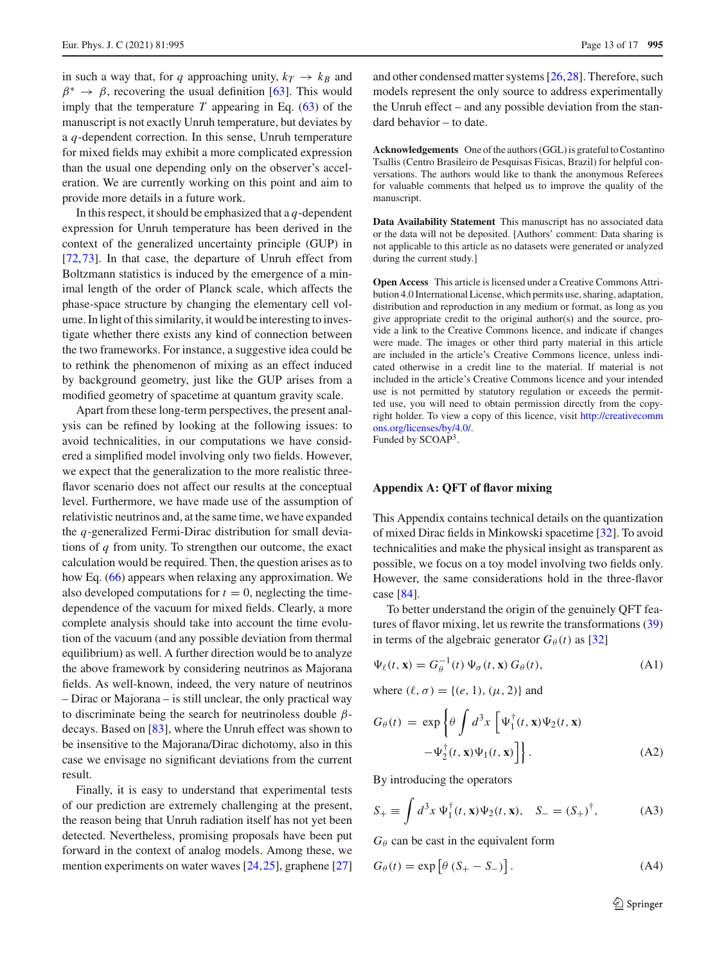in such a way that, for *q* approaching unity,  $k_T \rightarrow k_B$  and  $\beta^* \rightarrow \beta$ , recovering the usual definition [\[63](#page-16-4)]. This would imply that the temperature  $T$  appearing in Eq. [\(63\)](#page-9-0) of the manuscript is not exactly Unruh temperature, but deviates by a *q*-dependent correction. In this sense, Unruh temperature for mixed fields may exhibit a more complicated expression than the usual one depending only on the observer's acceleration. We are currently working on this point and aim to provide more details in a future work.

In this respect, it should be emphasized that a  $q$ -dependent expression for Unruh temperature has been derived in the context of the generalized uncertainty principle (GUP) in [\[72](#page-16-10),[73\]](#page-16-11). In that case, the departure of Unruh effect from Boltzmann statistics is induced by the emergence of a minimal length of the order of Planck scale, which affects the phase-space structure by changing the elementary cell volume. In light of this similarity, it would be interesting to investigate whether there exists any kind of connection between the two frameworks. For instance, a suggestive idea could be to rethink the phenomenon of mixing as an effect induced by background geometry, just like the GUP arises from a modified geometry of spacetime at quantum gravity scale.

Apart from these long-term perspectives, the present analysis can be refined by looking at the following issues: to avoid technicalities, in our computations we have considered a simplified model involving only two fields. However, we expect that the generalization to the more realistic threeflavor scenario does not affect our results at the conceptual level. Furthermore, we have made use of the assumption of relativistic neutrinos and, at the same time, we have expanded the *q*-generalized Fermi-Dirac distribution for small deviations of *q* from unity. To strengthen our outcome, the exact calculation would be required. Then, the question arises as to how Eq. [\(66\)](#page-9-2) appears when relaxing any approximation. We also developed computations for  $t = 0$ , neglecting the timedependence of the vacuum for mixed fields. Clearly, a more complete analysis should take into account the time evolution of the vacuum (and any possible deviation from thermal equilibrium) as well. A further direction would be to analyze the above framework by considering neutrinos as Majorana fields. As well-known, indeed, the very nature of neutrinos – Dirac or Majorana – is still unclear, the only practical way to discriminate being the search for neutrinoless double  $\beta$ decays. Based on [\[83\]](#page-16-20), where the Unruh effect was shown to be insensitive to the Majorana/Dirac dichotomy, also in this case we envisage no significant deviations from the current result.

Finally, it is easy to understand that experimental tests of our prediction are extremely challenging at the present, the reason being that Unruh radiation itself has not yet been detected. Nevertheless, promising proposals have been put forward in the context of analog models. Among these, we mention experiments on water waves [\[24,](#page-15-10)[25\]](#page-15-11), graphene [\[27\]](#page-15-41) and other condensed matter systems [\[26](#page-15-12)[,28](#page-15-13)]. Therefore, such models represent the only source to address experimentally the Unruh effect – and any possible deviation from the standard behavior – to date.

**Acknowledgements** One of the authors (GGL) is grateful to Costantino Tsallis (Centro Brasileiro de Pesquisas Fisicas, Brazil) for helpful conversations. The authors would like to thank the anonymous Referees for valuable comments that helped us to improve the quality of the manuscript.

**Data Availability Statement** This manuscript has no associated data or the data will not be deposited. [Authors' comment: Data sharing is not applicable to this article as no datasets were generated or analyzed during the current study.]

**Open Access** This article is licensed under a Creative Commons Attribution 4.0 International License, which permits use, sharing, adaptation, distribution and reproduction in any medium or format, as long as you give appropriate credit to the original author(s) and the source, provide a link to the Creative Commons licence, and indicate if changes were made. The images or other third party material in this article are included in the article's Creative Commons licence, unless indicated otherwise in a credit line to the material. If material is not included in the article's Creative Commons licence and your intended use is not permitted by statutory regulation or exceeds the permitted use, you will need to obtain permission directly from the copyright holder. To view a copy of this licence, visit [http://creativecomm](http://creativecommons.org/licenses/by/4.0/) [ons.org/licenses/by/4.0/.](http://creativecommons.org/licenses/by/4.0/)

Funded by SCOAP<sup>3</sup>.

#### **Appendix A: QFT of flavor mixing**

This Appendix contains technical details on the quantization of mixed Dirac fields in Minkowski spacetime [\[32\]](#page-15-17). To avoid technicalities and make the physical insight as transparent as possible, we focus on a toy model involving two fields only. However, the same considerations hold in the three-flavor case [\[84](#page-16-21)].

To better understand the origin of the genuinely QFT features of flavor mixing, let us rewrite the transformations [\(39\)](#page-5-1) in terms of the algebraic generator  $G_{\theta}(t)$  as [\[32\]](#page-15-17)

<span id="page-12-0"></span>
$$
\Psi_{\ell}(t, \mathbf{x}) = G_{\theta}^{-1}(t) \Psi_{\sigma}(t, \mathbf{x}) G_{\theta}(t), \tag{A1}
$$

where  $(\ell, \sigma) = \{(e, 1), (\mu, 2)\}\$ and

<span id="page-12-2"></span>
$$
G_{\theta}(t) = \exp \left\{ \theta \int d^3x \left[ \Psi_1^{\dagger}(t, \mathbf{x}) \Psi_2(t, \mathbf{x}) - \Psi_2^{\dagger}(t, \mathbf{x}) \Psi_1(t, \mathbf{x}) \right] \right\}.
$$
 (A2)

By introducing the operators

$$
S_{+} \equiv \int d^{3}x \, \Psi_{1}^{\dagger}(t, \mathbf{x}) \Psi_{2}(t, \mathbf{x}), \quad S_{-} = (S_{+})^{\dagger}, \tag{A3}
$$

 $G_{\theta}$  can be cast in the equivalent form

<span id="page-12-1"></span>
$$
G_{\theta}(t) = \exp\left[\theta \left(S_{+} - S_{-}\right)\right].\tag{A4}
$$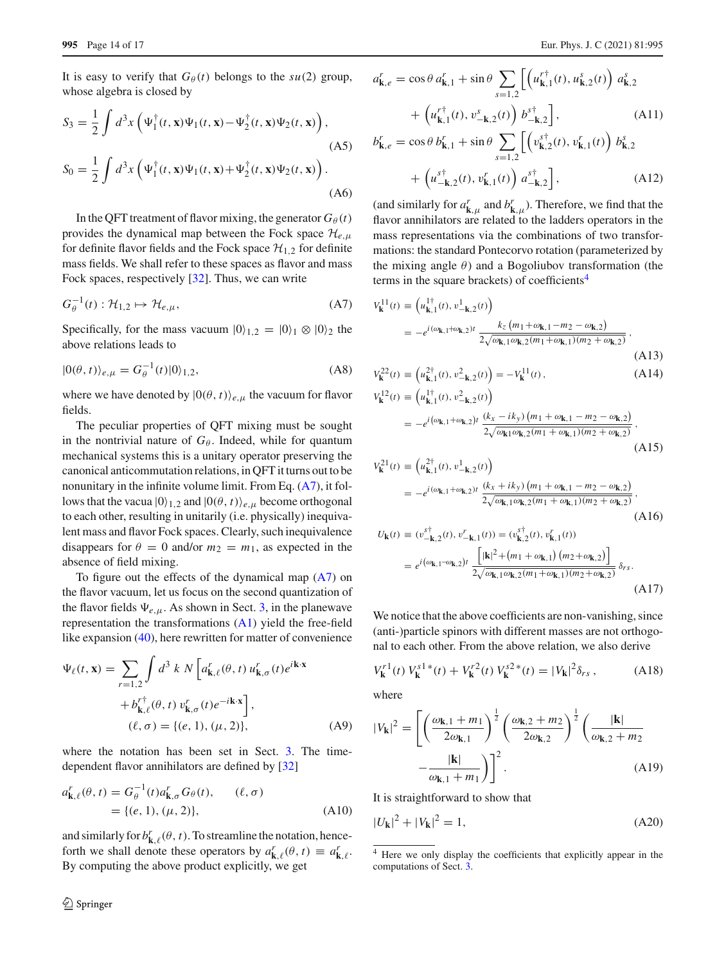It is easy to verify that  $G_{\theta}(t)$  belongs to the  $su(2)$  group, whose algebra is closed by

$$
S_3 = \frac{1}{2} \int d^3x \left( \Psi_1^\dagger(t, \mathbf{x}) \Psi_1(t, \mathbf{x}) - \Psi_2^\dagger(t, \mathbf{x}) \Psi_2(t, \mathbf{x}) \right),
$$
\n(A5)\n
$$
S_0 = \frac{1}{2} \int d^3x \left( \Psi_1^\dagger(t, \mathbf{x}) \Psi_1(t, \mathbf{x}) + \Psi_2^\dagger(t, \mathbf{x}) \Psi_2(t, \mathbf{x}) \right).
$$
\n(A6)

In the QFT treatment of flavor mixing, the generator  $G_{\theta}(t)$ provides the dynamical map between the Fock space *He*,μ for definite flavor fields and the Fock space  $\mathcal{H}_{1,2}$  for definite mass fields. We shall refer to these spaces as flavor and mass Fock spaces, respectively [\[32\]](#page-15-17). Thus, we can write

<span id="page-13-4"></span>
$$
G_{\theta}^{-1}(t): \mathcal{H}_{1,2} \mapsto \mathcal{H}_{e,\mu},\tag{A7}
$$

Specifically, for the mass vacuum  $|0\rangle_{1,2} = |0\rangle_1 \otimes |0\rangle_2$  the above relations leads to

$$
|0(\theta, t)\rangle_{e,\mu} = G_{\theta}^{-1}(t)|0\rangle_{1,2},\tag{A8}
$$

where we have denoted by  $|0(\theta, t)\rangle_{e,\mu}$  the vacuum for flavor fields.

The peculiar properties of QFT mixing must be sought in the nontrivial nature of  $G_{\theta}$ . Indeed, while for quantum mechanical systems this is a unitary operator preserving the canonical anticommutation relations, in QFT it turns out to be nonunitary in the infinite volume limit. From Eq. [\(A7\)](#page-13-4), it follows that the vacua  $|0\rangle_{1,2}$  and  $|0(\theta, t)\rangle_{e,\mu}$  become orthogonal to each other, resulting in unitarily (i.e. physically) inequivalent mass and flavor Fock spaces. Clearly, such inequivalence disappears for  $\theta = 0$  and/or  $m_2 = m_1$ , as expected in the absence of field mixing.

To figure out the effects of the dynamical map  $(A7)$  on the flavor vacuum, let us focus on the second quantization of the flavor fields  $\Psi_{e,\mu}$ . As shown in Sect. [3,](#page-5-0) in the planewave representation the transformations [\(A1\)](#page-12-0) yield the free-field like expansion [\(40\)](#page-5-2), here rewritten for matter of convenience

$$
\Psi_{\ell}(t, \mathbf{x}) = \sum_{r=1,2} \int d^3 k \, N \left[ a_{\mathbf{k},\ell}^r(\theta, t) \, u_{\mathbf{k},\sigma}^r(t) e^{i\mathbf{k}\cdot\mathbf{x}} \right. \left. + b_{\mathbf{k},\ell}^{r\dagger}(\theta, t) \, v_{\mathbf{k},\sigma}^r(t) e^{-i\mathbf{k}\cdot\mathbf{x}} \right], \n(\ell, \sigma) = \{ (e, 1), (\mu, 2) \},
$$
\n(A9)

where the notation has been set in Sect. [3.](#page-5-0) The timedependent flavor annihilators are defined by [\[32\]](#page-15-17)

<span id="page-13-6"></span>
$$
a_{\mathbf{k},\ell}^r(\theta, t) = G_{\theta}^{-1}(t) a_{\mathbf{k},\sigma}^r G_{\theta}(t), \qquad (\ell, \sigma)
$$
  
= { $(e, 1), (\mu, 2)$ }, \qquad (A10)

and similarly for  $b_{\mathbf{k},\ell}^r(\theta,t)$ . To streamline the notation, henceforth we shall denote these operators by  $a_{\mathbf{k},\ell}^r(\theta, t) \equiv a_{\mathbf{k},\ell}^r$ . By computing the above product explicitly, we get

<span id="page-13-0"></span>
$$
a_{\mathbf{k},e}^r = \cos\theta \, a_{\mathbf{k},1}^r + \sin\theta \sum_{s=1,2} \left[ \left( u_{\mathbf{k},1}^{r\dagger}(t), u_{\mathbf{k},2}^s(t) \right) a_{\mathbf{k},2}^s + \left( u_{\mathbf{k},1}^{r\dagger}(t), v_{-\mathbf{k},2}^s(t) \right) b_{-\mathbf{k},2}^{s\dagger} \right],
$$
\n(A11)

$$
b_{\mathbf{k},e}^r = \cos\theta \, b_{\mathbf{k},1}^r + \sin\theta \sum_{s=1,2} \left[ \left( v_{\mathbf{k},2}^{s\dagger}(t), v_{\mathbf{k},1}^r(t) \right) b_{\mathbf{k},2}^s + \left( u_{-\mathbf{k},2}^{s\dagger}(t), v_{\mathbf{k},1}^r(t) \right) a_{-\mathbf{k},2}^{s\dagger} \right],
$$
 (A12)

(and similarly for  $a_{\mathbf{k},\mu}^r$  and  $b_{\mathbf{k},\mu}^r$ ). Therefore, we find that the flavor annihilators are related to the ladders operators in the mass representations via the combinations of two transformations: the standard Pontecorvo rotation (parameterized by the mixing angle  $\theta$ ) and a Bogoliubov transformation (the terms in the square brackets) of coefficients<sup>[4](#page-13-5)</sup>

<span id="page-13-1"></span>
$$
V_{\mathbf{k}}^{11}(t) = \left(u_{\mathbf{k},1}^{1\dagger}(t), v_{-\mathbf{k},2}^{1}(t)\right)
$$
  
=  $-e^{i(\omega_{\mathbf{k},1} + \omega_{\mathbf{k},2})t} \frac{k_z(m_1 + \omega_{\mathbf{k},1} - m_2 - \omega_{\mathbf{k},2})}{2\sqrt{\omega_{\mathbf{k},1} \omega_{\mathbf{k},2} (m_1 + \omega_{\mathbf{k},1}) (m_2 + \omega_{\mathbf{k},2})}},$  (A13)

$$
V_{\mathbf{k}}^{22}(t) \equiv \left(u_{\mathbf{k},1}^{2\dagger}(t), v_{-\mathbf{k},2}^{2}(t)\right) = -V_{\mathbf{k}}^{11}(t),
$$
\n(A14)

$$
V_{\mathbf{k}}^{12}(t) = (u_{\mathbf{k},1}^{1\dagger}(t), v_{-\mathbf{k},2}^{2}(t))
$$
  
= 
$$
-e^{i(\omega_{\mathbf{k},1} + \omega_{\mathbf{k},2})t} \frac{(k_{x} - ik_{y})(m_{1} + \omega_{\mathbf{k},1} - m_{2} - \omega_{\mathbf{k},2})}{2\sqrt{\omega_{\mathbf{k},1}\omega_{\mathbf{k},2}(m_{1} + \omega_{\mathbf{k},1})(m_{2} + \omega_{\mathbf{k},2})}},
$$
(A15)

$$
V_{\mathbf{k}}^{21}(t) = (u_{\mathbf{k},1}^{2\dagger}(t), v_{-\mathbf{k},2}^{1}(t))
$$
  
= 
$$
-e^{i(\omega_{\mathbf{k},1} + \omega_{\mathbf{k},2})t} \frac{(k_{x} + ik_{y}) (m_{1} + \omega_{\mathbf{k},1} - m_{2} - \omega_{\mathbf{k},2})}{2\sqrt{\omega_{\mathbf{k},1}\omega_{\mathbf{k},2}(m_{1} + \omega_{\mathbf{k},1})(m_{2} + \omega_{\mathbf{k},2})}},
$$
(A16)

$$
U_{\mathbf{k}}(t) = (v_{-\mathbf{k},2}^{\text{s}\dagger}(t), v_{-\mathbf{k},1}^r(t)) = (v_{\mathbf{k},2}^{\text{s}\dagger}(t), v_{\mathbf{k},1}^r(t))
$$
  
=  $e^{i(\omega_{\mathbf{k},1}-\omega_{\mathbf{k},2})t} \frac{\left[|\mathbf{k}|^2 + (m_1 + \omega_{\mathbf{k},1}) (m_2 + \omega_{\mathbf{k},2})\right]}{2\sqrt{\omega_{\mathbf{k},1}\omega_{\mathbf{k},2}(m_1 + \omega_{\mathbf{k},1})(m_2 + \omega_{\mathbf{k},2})}} \delta_{rs}.$  (A17)

We notice that the above coefficients are non-vanishing, since (anti-)particle spinors with different masses are not orthogonal to each other. From the above relation, we also derive

$$
V_{\mathbf{k}}^{r1}(t) V_{\mathbf{k}}^{s1*}(t) + V_{\mathbf{k}}^{r2}(t) V_{\mathbf{k}}^{s2*}(t) = |V_{\mathbf{k}}|^{2} \delta_{rs}, \qquad (A18)
$$

where

<span id="page-13-3"></span>
$$
|V_{\mathbf{k}}|^2 = \left[ \left( \frac{\omega_{\mathbf{k},1} + m_1}{2\omega_{\mathbf{k},1}} \right)^{\frac{1}{2}} \left( \frac{\omega_{\mathbf{k},2} + m_2}{2\omega_{\mathbf{k},2}} \right)^{\frac{1}{2}} \left( \frac{|\mathbf{k}|}{\omega_{\mathbf{k},2} + m_2} - \frac{|\mathbf{k}|}{\omega_{\mathbf{k},1} + m_1} \right) \right]^2.
$$
 (A19)

It is straightforward to show that

<span id="page-13-2"></span>
$$
|U_{\mathbf{k}}|^2 + |V_{\mathbf{k}}|^2 = 1,\tag{A20}
$$

<span id="page-13-5"></span><sup>4</sup> Here we only display the coefficients that explicitly appear in the computations of Sect. [3.](#page-5-0)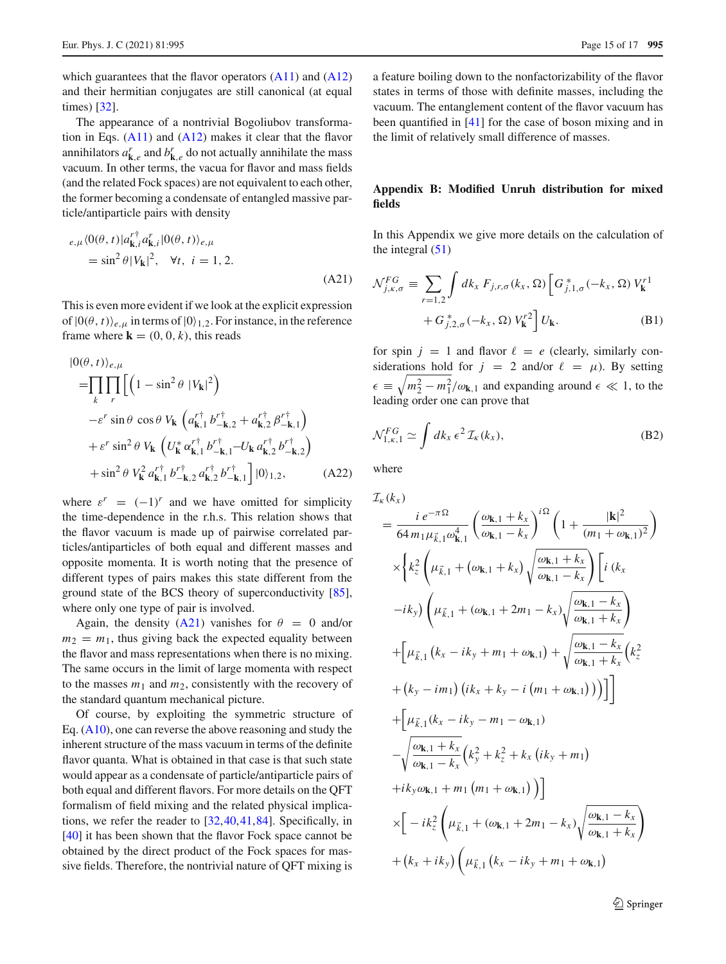which guarantees that the flavor operators  $(A11)$  and  $(A12)$ and their hermitian conjugates are still canonical (at equal times) [\[32\]](#page-15-17).

The appearance of a nontrivial Bogoliubov transformation in Eqs.  $(A11)$  and  $(A12)$  makes it clear that the flavor annihilators  $a_{\mathbf{k},e}^r$  and  $b_{\mathbf{k},e}^r$  do not actually annihilate the mass vacuum. In other terms, the vacua for flavor and mass fields (and the related Fock spaces) are not equivalent to each other, the former becoming a condensate of entangled massive particle/antiparticle pairs with density

<span id="page-14-0"></span>
$$
e_{,\mu} \langle 0(\theta, t) | a_{\mathbf{k}, i}^{r \dagger} a_{\mathbf{k}, i}^{r} | 0(\theta, t) \rangle_{e, \mu}
$$
  
= sin<sup>2</sup>  $\theta |V_{\mathbf{k}}|^{2}$ ,  $\forall t, i = 1, 2$ . (A21)

This is even more evident if we look at the explicit expression of  $|0(\theta, t)\rangle_{e,u}$  in terms of  $|0\rangle_{1,2}$ . For instance, in the reference frame where  $\mathbf{k} = (0, 0, k)$ , this reads

$$
|0(\theta, t)\rangle_{e,\mu}
$$
\n
$$
= \prod_{k} \prod_{r} \left[ \left( 1 - \sin^2 \theta \, |V_{k}|^2 \right) - \varepsilon^r \sin \theta \, \cos \theta \, V_{k} \left( a_{k,1}^{r\dagger} b_{-k,2}^{r\dagger} + a_{k,2}^{r\dagger} \beta_{-k,1}^{r\dagger} \right) + \varepsilon^r \sin^2 \theta \, V_{k} \left( U_{k}^{*} \alpha_{k,1}^{r\dagger} b_{-k,1}^{r\dagger} - U_{k} a_{k,2}^{r\dagger} b_{-k,2}^{r\dagger} \right) + \sin^2 \theta \, V_{k}^{2} \, a_{k,1}^{r\dagger} b_{-k,2}^{r\dagger} a_{k,2}^{r\dagger} b_{-k,1}^{r\dagger} \right] |0\rangle_{1,2}, \tag{A22}
$$

where  $\varepsilon^r = (-1)^r$  and we have omitted for simplicity the time-dependence in the r.h.s. This relation shows that the flavor vacuum is made up of pairwise correlated particles/antiparticles of both equal and different masses and opposite momenta. It is worth noting that the presence of different types of pairs makes this state different from the ground state of the BCS theory of superconductivity [\[85](#page-16-22)], where only one type of pair is involved.

Again, the density [\(A21\)](#page-14-0) vanishes for  $\theta = 0$  and/or  $m_2 = m_1$ , thus giving back the expected equality between the flavor and mass representations when there is no mixing. The same occurs in the limit of large momenta with respect to the masses  $m_1$  and  $m_2$ , consistently with the recovery of the standard quantum mechanical picture.

Of course, by exploiting the symmetric structure of Eq. [\(A10\)](#page-13-6), one can reverse the above reasoning and study the inherent structure of the mass vacuum in terms of the definite flavor quanta. What is obtained in that case is that such state would appear as a condensate of particle/antiparticle pairs of both equal and different flavors. For more details on the QFT formalism of field mixing and the related physical implications, we refer the reader to [\[32,](#page-15-17)[40](#page-15-23)[,41](#page-15-24)[,84](#page-16-21)]. Specifically, in [\[40](#page-15-23)] it has been shown that the flavor Fock space cannot be obtained by the direct product of the Fock spaces for massive fields. Therefore, the nontrivial nature of QFT mixing is a feature boiling down to the nonfactorizability of the flavor states in terms of those with definite masses, including the vacuum. The entanglement content of the flavor vacuum has been quantified in [\[41](#page-15-24)] for the case of boson mixing and in the limit of relatively small difference of masses.

## **Appendix B: Modified Unruh distribution for mixed fields**

In this Appendix we give more details on the calculation of the integral  $(51)$ 

$$
\mathcal{N}_{j,\kappa,\sigma}^{FG} \equiv \sum_{r=1,2} \int dk_x F_{j,r,\sigma}(k_x,\Omega) \left[ G_{j,1,\sigma}^*(-k_x,\Omega) V_{\mathbf{k}}^{r1} + G_{j,2,\sigma}^*(-k_x,\Omega) V_{\mathbf{k}}^{r2} \right] U_{\mathbf{k}}.
$$
\n(B1)

for spin  $j = 1$  and flavor  $\ell = e$  (clearly, similarly considerations hold for  $j = 2$  and/or  $\ell = \mu$ ). By setting  $\epsilon \equiv \sqrt{m_2^2 - m_1^2}/\omega_{\mathbf{k},1}$  and expanding around  $\epsilon \ll 1$ , to the leading order one can prove that

$$
\mathcal{N}_{1,\kappa,1}^{FG} \simeq \int dk_x \,\epsilon^2 \,\mathcal{I}_{\kappa}(k_x),\tag{B2}
$$

where

$$
\mathcal{I}_{\kappa}(k_{x})
$$
\n
$$
= \frac{i e^{-\pi \Omega}}{64 m_{1} \mu_{k,1}^{2} \omega_{k,1}^{4}} \left( \frac{\omega_{k,1} + k_{x}}{\omega_{k,1} - k_{x}} \right)^{i\Omega} \left( 1 + \frac{|\mathbf{k}|^{2}}{(m_{1} + \omega_{k,1})^{2}} \right)
$$
\n
$$
\times \left\{ k_{z}^{2} \left( \mu_{k,1} + (\omega_{k,1} + k_{x}) \sqrt{\frac{\omega_{k,1} + k_{x}}{\omega_{k,1} - k_{x}}} \right) \left[ i (k_{x} - i k_{y}) \left( \mu_{k,1} + (\omega_{k,1} + 2m_{1} - k_{x}) \sqrt{\frac{\omega_{k,1} - k_{x}}{\omega_{k,1} + k_{x}}} \right) \right. \\ \left. + \left[ \mu_{k,1} (k_{x} - i k_{y} + m_{1} + \omega_{k,1}) + \sqrt{\frac{\omega_{k,1} - k_{x}}{\omega_{k,1} + k_{x}}} \left( k_{z}^{2} + (k_{y} - im_{1}) (ik_{x} + k_{y} - i (m_{1} + \omega_{k,1})) \right) \right] \right] + \left[ \mu_{k,1} (k_{x} - ik_{y} - m_{1} - \omega_{k,1}) \right]
$$
\n
$$
+ \left[ \mu_{k,1} (k_{x} - ik_{y} - m_{1} - \omega_{k,1}) \right]
$$
\n
$$
+ i k_{y} \omega_{k,1} + k_{x} (k_{y}^{2} + k_{z}^{2} + k_{x} (ik_{y} + m_{1}) \right]
$$
\n
$$
+ i k_{y} \omega_{k,1} + m_{1} (m_{1} + \omega_{k,1}) \right)]
$$
\n
$$
\times \left[ - i k_{z}^{2} \left( \mu_{k,1} + (\omega_{k,1} + 2m_{1} - k_{x}) \sqrt{\frac{\omega_{k,1} - k_{x}}{\omega_{k,1} + k_{x}}} \right) + (k_{x} + ik_{y}) \left( \mu_{k,1} (k_{x} - ik_{y} + m_{1} + \omega_{k,1}) \right)
$$

<sup>2</sup> Springer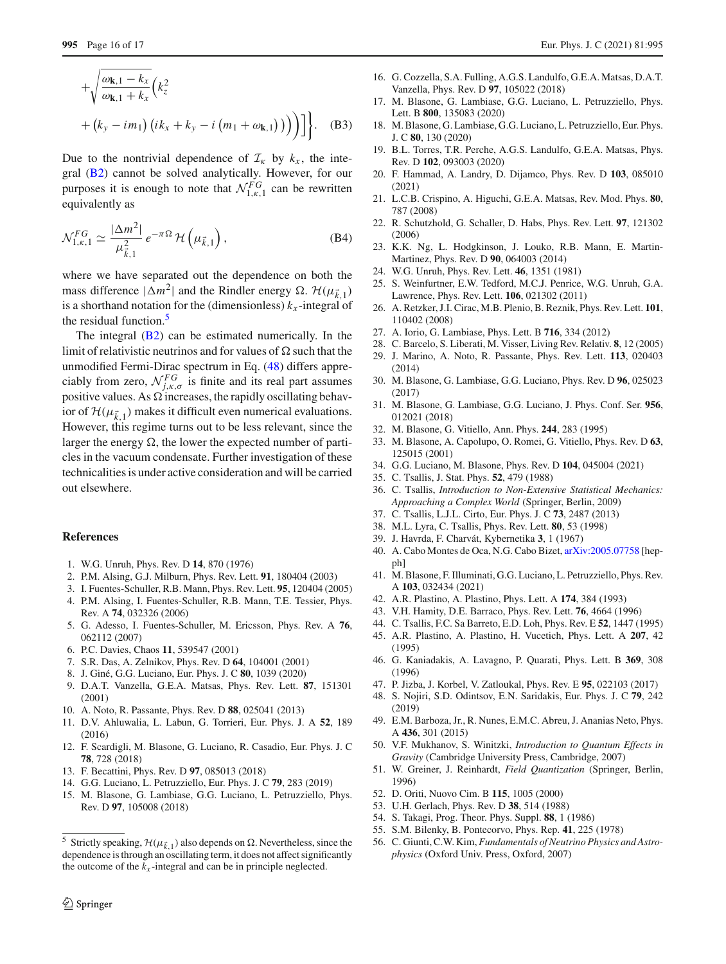$$
+\sqrt{\frac{\omega_{\mathbf{k},1} - k_x}{\omega_{\mathbf{k},1} + k_x}} \Big(k_z^2 + (k_y - im_1) \Big( ik_x + k_y - i \Big(m_1 + \omega_{\mathbf{k},1} \Big) \Big) \Big) \Big] \Big\}. \quad \text{(B3)}
$$

Due to the nontrivial dependence of  $\mathcal{I}_k$  by  $k_x$ , the integral [\(B2\)](#page-12-2) cannot be solved analytically. However, for our purposes it is enough to note that  $\mathcal{N}_{1,\kappa,1}^{FG}$  can be rewritten equivalently as

$$
\mathcal{N}_{1,\kappa,1}^{FG} \simeq \frac{|\Delta m^2|}{\mu_{\vec{k},1}^2} e^{-\pi \Omega} \mathcal{H}\left(\mu_{\vec{k},1}\right),\tag{B4}
$$

where we have separated out the dependence on both the mass difference  $|\Delta m^2|$  and the Rindler energy  $\Omega$ .  $\mathcal{H}(\mu_{\vec{k},1})$ is a shorthand notation for the (dimensionless)  $k_x$ -integral of the residual function.<sup>[5](#page-15-42)</sup>

The integral  $(B2)$  can be estimated numerically. In the limit of relativistic neutrinos and for values of  $\Omega$  such that the unmodified Fermi-Dirac spectrum in Eq. [\(48\)](#page-7-1) differs appreciably from zero,  $\mathcal{N}_{j,k,\sigma}^{FG}$  is finite and its real part assumes positive values. As  $\Omega$  increases, the rapidly oscillating behavior of  $\mathcal{H}(\mu_{\vec{k},1})$  makes it difficult even numerical evaluations. However, this regime turns out to be less relevant, since the larger the energy  $\Omega$ , the lower the expected number of particles in the vacuum condensate. Further investigation of these technicalities is under active consideration and will be carried out elsewhere.

### **References**

- <span id="page-15-0"></span>1. W.G. Unruh, Phys. Rev. D **14**, 870 (1976)
- <span id="page-15-1"></span>2. P.M. Alsing, G.J. Milburn, Phys. Rev. Lett. **91**, 180404 (2003)
- 3. I. Fuentes-Schuller, R.B. Mann, Phys. Rev. Lett. **95**, 120404 (2005)
- 4. P.M. Alsing, I. Fuentes-Schuller, R.B. Mann, T.E. Tessier, Phys. Rev. A **74**, 032326 (2006)
- <span id="page-15-2"></span>5. G. Adesso, I. Fuentes-Schuller, M. Ericsson, Phys. Rev. A **76**, 062112 (2007)
- <span id="page-15-3"></span>6. P.C. Davies, Chaos **11**, 539547 (2001)
- 7. S.R. Das, A. Zelnikov, Phys. Rev. D **64**, 104001 (2001)
- <span id="page-15-4"></span>8. J. Giné, G.G. Luciano, Eur. Phys. J. C **80**, 1039 (2020)
- <span id="page-15-5"></span>9. D.A.T. Vanzella, G.E.A. Matsas, Phys. Rev. Lett. **87**, 151301 (2001)
- 10. A. Noto, R. Passante, Phys. Rev. D **88**, 025041 (2013)
- 11. D.V. Ahluwalia, L. Labun, G. Torrieri, Eur. Phys. J. A **52**, 189 (2016)
- 12. F. Scardigli, M. Blasone, G. Luciano, R. Casadio, Eur. Phys. J. C **78**, 728 (2018)
- 13. F. Becattini, Phys. Rev. D **97**, 085013 (2018)
- 14. G.G. Luciano, L. Petruzziello, Eur. Phys. J. C **79**, 283 (2019)
- 15. M. Blasone, G. Lambiase, G.G. Luciano, L. Petruzziello, Phys. Rev. D **97**, 105008 (2018)
- 16. G. Cozzella, S.A. Fulling, A.G.S. Landulfo, G.E.A. Matsas, D.A.T. Vanzella, Phys. Rev. D **97**, 105022 (2018)
- 17. M. Blasone, G. Lambiase, G.G. Luciano, L. Petruzziello, Phys. Lett. B **800**, 135083 (2020)
- 18. M. Blasone, G. Lambiase, G.G. Luciano, L. Petruzziello, Eur. Phys. J. C **80**, 130 (2020)
- 19. B.L. Torres, T.R. Perche, A.G.S. Landulfo, G.E.A. Matsas, Phys. Rev. D **102**, 093003 (2020)
- <span id="page-15-6"></span>20. F. Hammad, A. Landry, D. Dijamco, Phys. Rev. D **103**, 085010 (2021)
- <span id="page-15-7"></span>21. L.C.B. Crispino, A. Higuchi, G.E.A. Matsas, Rev. Mod. Phys. **80**, 787 (2008)
- <span id="page-15-8"></span>22. R. Schutzhold, G. Schaller, D. Habs, Phys. Rev. Lett. **97**, 121302 (2006)
- <span id="page-15-9"></span>23. K.K. Ng, L. Hodgkinson, J. Louko, R.B. Mann, E. Martin-Martinez, Phys. Rev. D **90**, 064003 (2014)
- <span id="page-15-10"></span>24. W.G. Unruh, Phys. Rev. Lett. **46**, 1351 (1981)
- <span id="page-15-11"></span>25. S. Weinfurtner, E.W. Tedford, M.C.J. Penrice, W.G. Unruh, G.A. Lawrence, Phys. Rev. Lett. **106**, 021302 (2011)
- <span id="page-15-12"></span>26. A. Retzker, J.I. Cirac, M.B. Plenio, B. Reznik, Phys. Rev. Lett. **101**, 110402 (2008)
- <span id="page-15-41"></span>27. A. Iorio, G. Lambiase, Phys. Lett. B **716**, 334 (2012)
- <span id="page-15-13"></span>28. C. Barcelo, S. Liberati, M. Visser, Living Rev. Relativ. **8**, 12 (2005)
- <span id="page-15-14"></span>29. J. Marino, A. Noto, R. Passante, Phys. Rev. Lett. **113**, 020403 (2014)
- <span id="page-15-15"></span>30. M. Blasone, G. Lambiase, G.G. Luciano, Phys. Rev. D **96**, 025023 (2017)
- <span id="page-15-16"></span>31. M. Blasone, G. Lambiase, G.G. Luciano, J. Phys. Conf. Ser. **956**, 012021 (2018)
- <span id="page-15-17"></span>32. M. Blasone, G. Vitiello, Ann. Phys. **244**, 283 (1995)
- <span id="page-15-18"></span>33. M. Blasone, A. Capolupo, O. Romei, G. Vitiello, Phys. Rev. D **63**, 125015 (2001)
- <span id="page-15-19"></span>34. G.G. Luciano, M. Blasone, Phys. Rev. D **104**, 045004 (2021)
- <span id="page-15-20"></span>35. C. Tsallis, J. Stat. Phys. **52**, 479 (1988)
- 36. C. Tsallis, *Introduction to Non-Extensive Statistical Mechanics: Approaching a Complex World* (Springer, Berlin, 2009)
- <span id="page-15-27"></span>37. C. Tsallis, L.J.L. Cirto, Eur. Phys. J. C **73**, 2487 (2013)
- <span id="page-15-21"></span>38. M.L. Lyra, C. Tsallis, Phys. Rev. Lett. **80**, 53 (1998)
- <span id="page-15-22"></span>39. J. Havrda, F. Charvát, Kybernetika **3**, 1 (1967)
- <span id="page-15-23"></span>40. A. Cabo Montes de Oca, N.G. Cabo Bizet, [arXiv:2005.07758](http://arxiv.org/abs/2005.07758) [hepph]
- <span id="page-15-24"></span>41. M. Blasone, F. Illuminati, G.G. Luciano, L. Petruzziello, Phys. Rev. A **103**, 032434 (2021)
- <span id="page-15-25"></span>42. A.R. Plastino, A. Plastino, Phys. Lett. A **174**, 384 (1993)
- <span id="page-15-26"></span>43. V.H. Hamity, D.E. Barraco, Phys. Rev. Lett. **76**, 4664 (1996)
- <span id="page-15-28"></span>44. C. Tsallis, F.C. Sa Barreto, E.D. Loh, Phys. Rev. E **52**, 1447 (1995) 45. A.R. Plastino, A. Plastino, H. Vucetich, Phys. Lett. A **207**, 42
- <span id="page-15-29"></span>(1995) 46. G. Kaniadakis, A. Lavagno, P. Quarati, Phys. Lett. B **369**, 308
- <span id="page-15-30"></span>(1996)
- <span id="page-15-31"></span>47. P. Jizba, J. Korbel, V. Zatloukal, Phys. Rev. E **95**, 022103 (2017)
- <span id="page-15-32"></span>48. S. Nojiri, S.D. Odintsov, E.N. Saridakis, Eur. Phys. J. C **79**, 242 (2019)
- <span id="page-15-33"></span>49. E.M. Barboza, Jr., R. Nunes, E.M.C. Abreu, J. Ananias Neto, Phys. A **436**, 301 (2015)
- <span id="page-15-34"></span>50. V.F. Mukhanov, S. Winitzki, *Introduction to Quantum Effects in Gravity* (Cambridge University Press, Cambridge, 2007)
- <span id="page-15-35"></span>51. W. Greiner, J. Reinhardt, *Field Quantization* (Springer, Berlin, 1996)
- <span id="page-15-36"></span>52. D. Oriti, Nuovo Cim. B **115**, 1005 (2000)
- <span id="page-15-37"></span>53. U.H. Gerlach, Phys. Rev. D **38**, 514 (1988)
- <span id="page-15-38"></span>54. S. Takagi, Prog. Theor. Phys. Suppl. **88**, 1 (1986)
- <span id="page-15-39"></span>55. S.M. Bilenky, B. Pontecorvo, Phys. Rep. **41**, 225 (1978)
- <span id="page-15-40"></span>56. C. Giunti, C.W. Kim, *Fundamentals of Neutrino Physics and Astrophysics* (Oxford Univ. Press, Oxford, 2007)

<span id="page-15-42"></span><sup>&</sup>lt;sup>5</sup> Strictly speaking,  $H(\mu_{\vec{k},1})$  also depends on  $\Omega$ . Nevertheless, since the dependence is through an oscillating term, it does not affect significantly the outcome of the  $k_x$ -integral and can be in principle neglected.